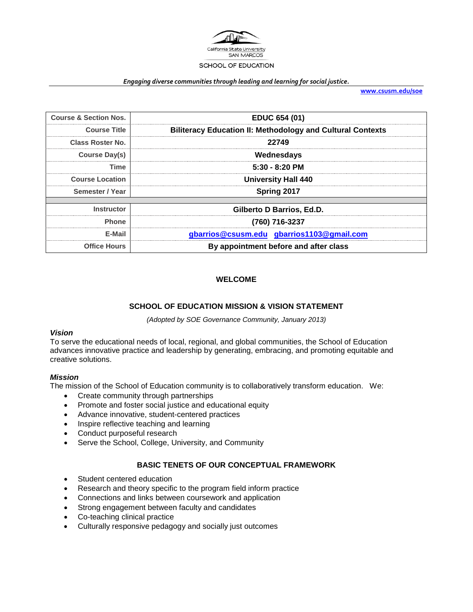

#### *Engaging diverse communities through leading and learning for social justice.*

**[www.csusm.edu/soe](http://www.csusm.edu/soe)**

| <b>Course &amp; Section Nos.</b> | <b>EDUC 654 (01)</b>                                              |  |
|----------------------------------|-------------------------------------------------------------------|--|
| <b>Course Title</b>              | <b>Biliteracy Education II: Methodology and Cultural Contexts</b> |  |
| Class Roster No.                 | 22749                                                             |  |
| Course Day(s)                    | Wednesdays                                                        |  |
| Time                             | $5:30 - 8:20$ PM                                                  |  |
| <b>Course Location</b>           | <b>University Hall 440</b>                                        |  |
| Semester / Year                  | Spring 2017                                                       |  |
| <b>Instructor</b>                | Gilberto D Barrios, Ed.D.                                         |  |
| <b>Phone</b>                     | (760) 716-3237                                                    |  |
| E-Mail                           | gbarrios@csusm.edu gbarrios1103@gmail.com                         |  |
| <b>Office Hours</b>              | By appointment before and after class                             |  |

#### **WELCOME**

#### **SCHOOL OF EDUCATION MISSION & VISION STATEMENT**

*(Adopted by SOE Governance Community, January 2013)*

#### *Vision*

To serve the educational needs of local, regional, and global communities, the School of Education advances innovative practice and leadership by generating, embracing, and promoting equitable and creative solutions.

#### *Mission*

The mission of the School of Education community is to collaboratively transform education. We:

- Create community through partnerships
- Promote and foster social justice and educational equity
- Advance innovative, student-centered practices
- Inspire reflective teaching and learning
- Conduct purposeful research
- Serve the School, College, University, and Community

#### **BASIC TENETS OF OUR CONCEPTUAL FRAMEWORK**

- Student centered education
- Research and theory specific to the program field inform practice
- Connections and links between coursework and application
- Strong engagement between faculty and candidates
- Co-teaching clinical practice
- Culturally responsive pedagogy and socially just outcomes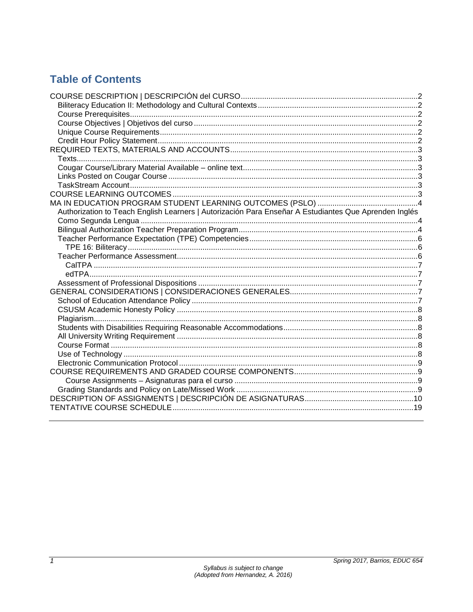# **Table of Contents**

| Authorization to Teach English Learners   Autorización Para Enseñar A Estudiantes Que Aprenden Inglés |  |
|-------------------------------------------------------------------------------------------------------|--|
|                                                                                                       |  |
|                                                                                                       |  |
|                                                                                                       |  |
|                                                                                                       |  |
|                                                                                                       |  |
|                                                                                                       |  |
|                                                                                                       |  |
|                                                                                                       |  |
|                                                                                                       |  |
|                                                                                                       |  |
|                                                                                                       |  |
|                                                                                                       |  |
|                                                                                                       |  |
|                                                                                                       |  |
|                                                                                                       |  |
|                                                                                                       |  |
|                                                                                                       |  |
|                                                                                                       |  |
|                                                                                                       |  |
|                                                                                                       |  |
|                                                                                                       |  |
|                                                                                                       |  |
|                                                                                                       |  |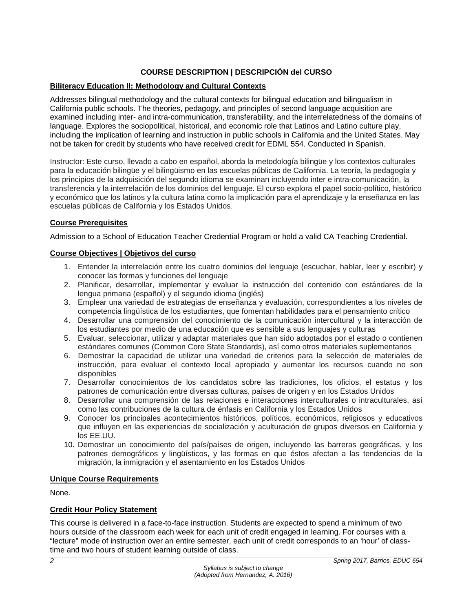# **COURSE DESCRIPTION | DESCRIPCIÓN del CURSO**

#### <span id="page-2-1"></span><span id="page-2-0"></span>**Biliteracy Education II: Methodology and Cultural Contexts**

Addresses bilingual methodology and the cultural contexts for bilingual education and bilingualism in California public schools. The theories, pedagogy, and principles of second language acquisition are examined including inter- and intra-communication, transferability, and the interrelatedness of the domains of language. Explores the sociopolitical, historical, and economic role that Latinos and Latino culture play, including the implication of learning and instruction in public schools in California and the United States. May not be taken for credit by students who have received credit for EDML 554. Conducted in Spanish.

Instructor: Este curso, llevado a cabo en español, aborda la metodología bilingüe y los contextos culturales para la educación bilingüe y el bilingüismo en las escuelas públicas de California. La teoría, la pedagogía y los principios de la adquisición del segundo idioma se examinan incluyendo inter e intra-comunicación, la transferencia y la interrelación de los dominios del lenguaje. El curso explora el papel socio-político, histórico y económico que los latinos y la cultura latina como la implicación para el aprendizaje y la enseñanza en las escuelas públicas de California y los Estados Unidos.

#### <span id="page-2-2"></span>**Course Prerequisites**

Admission to a School of Education Teacher Credential Program or hold a valid CA Teaching Credential.

#### <span id="page-2-3"></span>**Course Objectives | Objetivos del curso**

- 1. Entender la interrelación entre los cuatro dominios del lenguaje (escuchar, hablar, leer y escribir) y conocer las formas y funciones del lenguaje
- 2. Planificar, desarrollar, implementar y evaluar la instrucción del contenido con estándares de la lengua primaria (español) y el segundo idioma (inglés)
- 3. Emplear una variedad de estrategias de enseñanza y evaluación, correspondientes a los niveles de competencia lingüística de los estudiantes, que fomentan habilidades para el pensamiento crítico
- 4. Desarrollar una comprensión del conocimiento de la comunicación intercultural y la interacción de los estudiantes por medio de una educación que es sensible a sus lenguajes y culturas
- 5. Evaluar, seleccionar, utilizar y adaptar materiales que han sido adoptados por el estado o contienen estándares comunes (Common Core State Standards), así como otros materiales suplementarios
- 6. Demostrar la capacidad de utilizar una variedad de criterios para la selección de materiales de instrucción, para evaluar el contexto local apropiado y aumentar los recursos cuando no son disponibles
- 7. Desarrollar conocimientos de los candidatos sobre las tradiciones, los oficios, el estatus y los patrones de comunicación entre diversas culturas, países de origen y en los Estados Unidos
- 8. Desarrollar una comprensión de las relaciones e interacciones interculturales o intraculturales, así como las contribuciones de la cultura de énfasis en California y los Estados Unidos
- 9. Conocer los principales acontecimientos históricos, políticos, económicos, religiosos y educativos que influyen en las experiencias de socialización y aculturación de grupos diversos en California y los EE.UU.
- 10. Demostrar un conocimiento del país/países de origen, incluyendo las barreras geográficas, y los patrones demográficos y lingüísticos, y las formas en que éstos afectan a las tendencias de la migración, la inmigración y el asentamiento en los Estados Unidos

#### <span id="page-2-4"></span>**Unique Course Requirements**

None.

# <span id="page-2-5"></span>**Credit Hour Policy Statement**

This course is delivered in a face-to-face instruction. Students are expected to spend a minimum of two hours outside of the classroom each week for each unit of credit engaged in learning. For courses with a "lecture" mode of instruction over an entire semester, each unit of credit corresponds to an 'hour' of classtime and two hours of student learning outside of class.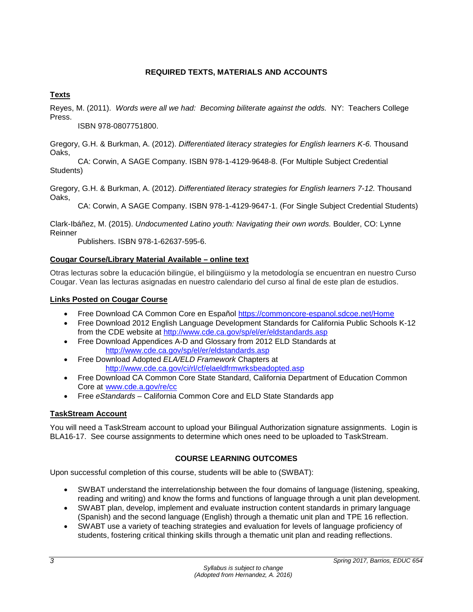# **REQUIRED TEXTS, MATERIALS AND ACCOUNTS**

# <span id="page-3-1"></span><span id="page-3-0"></span>**Texts**

Reyes, M. (2011). *Words were all we had: Becoming biliterate against the odds.* NY: Teachers College Press.

ISBN 978-0807751800.

Gregory, G.H. & Burkman, A. (2012). *Differentiated literacy strategies for English learners K-6.* Thousand Oaks,

CA: Corwin, A SAGE Company. ISBN 978-1-4129-9648-8. (For Multiple Subject Credential Students)

Gregory, G.H. & Burkman, A. (2012). *Differentiated literacy strategies for English learners 7-12.* Thousand Oaks,

CA: Corwin, A SAGE Company. ISBN 978-1-4129-9647-1. (For Single Subject Credential Students)

Clark-Ibáñez, M. (2015). *Undocumented Latino youth: Navigating their own words.* Boulder, CO: Lynne Reinner

Publishers. ISBN 978-1-62637-595-6.

# <span id="page-3-2"></span>**Cougar Course/Library Material Available – online text**

Otras lecturas sobre la educación bilingüe, el bilingüismo y la metodología se encuentran en nuestro Curso Cougar. Vean las lecturas asignadas en nuestro calendario del curso al final de este plan de estudios.

# <span id="page-3-3"></span>**Links Posted on Cougar Course**

- Free Download CA Common Core en Español<https://commoncore-espanol.sdcoe.net/Home>
- Free Download 2012 English Language Development Standards for California Public Schools K-12 from the CDE website at<http://www.cde.ca.gov/sp/el/er/eldstandards.asp>
- Free Download Appendices A-D and Glossary from 2012 ELD Standards at <http://www.cde.ca.gov/sp/el/er/eldstandards.asp>
- Free Download Adopted *ELA/ELD Framework* Chapters at <http://www.cde.ca.gov/ci/rl/cf/elaeldfrmwrksbeadopted.asp>
- Free Download CA Common Core State Standard, California Department of Education Common Core at [www.cde.a.gov/re/cc](http://www.cde.a.gov/re/cc)
- Free *eStandards*  California Common Core and ELD State Standards app

# <span id="page-3-4"></span>**TaskStream Account**

You will need a TaskStream account to upload your Bilingual Authorization signature assignments. Login is BLA16-17. See course assignments to determine which ones need to be uploaded to TaskStream.

# **COURSE LEARNING OUTCOMES**

<span id="page-3-5"></span>Upon successful completion of this course, students will be able to (SWBAT):

- SWBAT understand the interrelationship between the four domains of language (listening, speaking, reading and writing) and know the forms and functions of language through a unit plan development.
- SWABT plan, develop, implement and evaluate instruction content standards in primary language (Spanish) and the second language (English) through a thematic unit plan and TPE 16 reflection.
- SWABT use a variety of teaching strategies and evaluation for levels of language proficiency of students, fostering critical thinking skills through a thematic unit plan and reading reflections.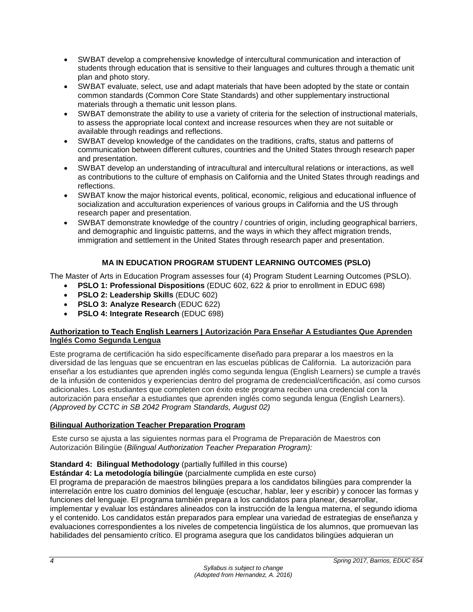- SWBAT develop a comprehensive knowledge of intercultural communication and interaction of students through education that is sensitive to their languages and cultures through a thematic unit plan and photo story.
- SWBAT evaluate, select, use and adapt materials that have been adopted by the state or contain common standards (Common Core State Standards) and other supplementary instructional materials through a thematic unit lesson plans.
- SWBAT demonstrate the ability to use a variety of criteria for the selection of instructional materials, to assess the appropriate local context and increase resources when they are not suitable or available through readings and reflections.
- SWBAT develop knowledge of the candidates on the traditions, crafts, status and patterns of communication between different cultures, countries and the United States through research paper and presentation.
- SWBAT develop an understanding of intracultural and intercultural relations or interactions, as well as contributions to the culture of emphasis on California and the United States through readings and reflections.
- SWBAT know the major historical events, political, economic, religious and educational influence of socialization and acculturation experiences of various groups in California and the US through research paper and presentation.
- SWBAT demonstrate knowledge of the country / countries of origin, including geographical barriers, and demographic and linguistic patterns, and the ways in which they affect migration trends, immigration and settlement in the United States through research paper and presentation.

# **MA IN EDUCATION PROGRAM STUDENT LEARNING OUTCOMES (PSLO)**

<span id="page-4-0"></span>The Master of Arts in Education Program assesses four (4) Program Student Learning Outcomes (PSLO).

- **PSLO 1: Professional Dispositions** (EDUC 602, 622 & prior to enrollment in EDUC 698)
- **PSLO 2: Leadership Skills** (EDUC 602)
- **PSLO 3: Analyze Research** (EDUC 622)
- **PSLO 4: Integrate Research** (EDUC 698)

#### <span id="page-4-1"></span>**Authorization to Teach English Learners | Autorización Para Enseñar A Estudiantes Que Aprenden Inglés Como Segunda Lengua**

Este programa de certificación ha sido específicamente diseñado para preparar a los maestros en la diversidad de las lenguas que se encuentran en las escuelas públicas de California. La autorización para enseñar a los estudiantes que aprenden inglés como segunda lengua (English Learners) se cumple a través de la infusión de contenidos y experiencias dentro del programa de credencial/certificación, así como cursos adicionales. Los estudiantes que completen con éxito este programa reciben una credencial con la autorización para enseñar a estudiantes que aprenden inglés como segunda lengua (English Learners). *(Approved by CCTC in SB 2042 Program Standards, August 02)*

# <span id="page-4-2"></span>**Bilingual Authorization Teacher Preparation Program**

Este curso se ajusta a las siguientes normas para el Programa de Preparación de Maestros con Autorización Bilingüe (*Bilingual Authorization Teacher Preparation Program):*

# **Standard 4: Bilingual Methodology** (partially fulfilled in this course)

**Estándar 4: La metodología bilingüe** (parcialmente cumplida en este curso)

El programa de preparación de maestros bilingües prepara a los candidatos bilingües para comprender la interrelación entre los cuatro dominios del lenguaje (escuchar, hablar, leer y escribir) y conocer las formas y funciones del lenguaje. El programa también prepara a los candidatos para planear, desarrollar,

implementar y evaluar los estándares alineados con la instrucción de la lengua materna, el segundo idioma y el contenido. Los candidatos están preparados para emplear una variedad de estrategias de enseñanza y evaluaciones correspondientes a los niveles de competencia lingüística de los alumnos, que promuevan las habilidades del pensamiento crítico. El programa asegura que los candidatos bilingües adquieran un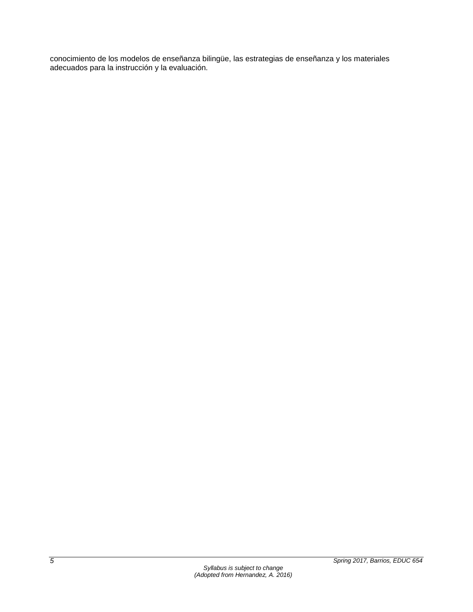conocimiento de los modelos de enseñanza bilingüe, las estrategias de enseñanza y los materiales adecuados para la instrucción y la evaluación.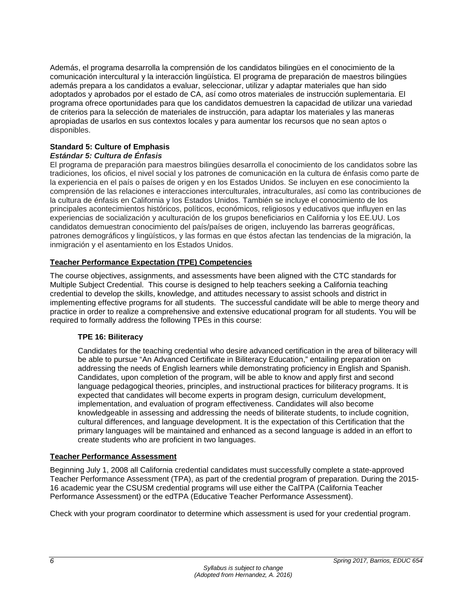Además, el programa desarrolla la comprensión de los candidatos bilingües en el conocimiento de la comunicación intercultural y la interacción lingüística. El programa de preparación de maestros bilingües además prepara a los candidatos a evaluar, seleccionar, utilizar y adaptar materiales que han sido adoptados y aprobados por el estado de CA, así como otros materiales de instrucción suplementaria. El programa ofrece oportunidades para que los candidatos demuestren la capacidad de utilizar una variedad de criterios para la selección de materiales de instrucción, para adaptar los materiales y las maneras apropiadas de usarlos en sus contextos locales y para aumentar los recursos que no sean aptos o disponibles.

#### **Standard 5: Culture of Emphasis** *Estándar 5: Cultura de Énfasis*

El programa de preparación para maestros bilingües desarrolla el conocimiento de los candidatos sobre las tradiciones, los oficios, el nivel social y los patrones de comunicación en la cultura de énfasis como parte de la experiencia en el país o países de origen y en los Estados Unidos. Se incluyen en ese conocimiento la comprensión de las relaciones e interacciones interculturales, intraculturales, así como las contribuciones de la cultura de énfasis en California y los Estados Unidos. También se incluye el conocimiento de los principales acontecimientos históricos, políticos, económicos, religiosos y educativos que influyen en las experiencias de socialización y aculturación de los grupos beneficiarios en California y los EE.UU. Los candidatos demuestran conocimiento del país/países de origen, incluyendo las barreras geográficas, patrones demográficos y lingüísticos, y las formas en que éstos afectan las tendencias de la migración, la inmigración y el asentamiento en los Estados Unidos.

# <span id="page-6-0"></span>**Teacher Performance Expectation (TPE) Competencies**

The course objectives, assignments, and assessments have been aligned with the CTC standards for Multiple Subject Credential. This course is designed to help teachers seeking a California teaching credential to develop the skills, knowledge, and attitudes necessary to assist schools and district in implementing effective programs for all students. The successful candidate will be able to merge theory and practice in order to realize a comprehensive and extensive educational program for all students. You will be required to formally address the following TPEs in this course:

# <span id="page-6-1"></span>**TPE 16: Biliteracy**

Candidates for the teaching credential who desire advanced certification in the area of biliteracy will be able to pursue "An Advanced Certificate in Biliteracy Education," entailing preparation on addressing the needs of English learners while demonstrating proficiency in English and Spanish. Candidates, upon completion of the program, will be able to know and apply first and second language pedagogical theories, principles, and instructional practices for biliteracy programs. It is expected that candidates will become experts in program design, curriculum development, implementation, and evaluation of program effectiveness. Candidates will also become knowledgeable in assessing and addressing the needs of biliterate students, to include cognition, cultural differences, and language development. It is the expectation of this Certification that the primary languages will be maintained and enhanced as a second language is added in an effort to create students who are proficient in two languages.

# <span id="page-6-2"></span>**Teacher Performance Assessment**

Beginning July 1, 2008 all California credential candidates must successfully complete a state-approved Teacher Performance Assessment (TPA), as part of the credential program of preparation. During the 2015- 16 academic year the CSUSM credential programs will use either the CalTPA (California Teacher Performance Assessment) or the edTPA (Educative Teacher Performance Assessment).

Check with your program coordinator to determine which assessment is used for your credential program.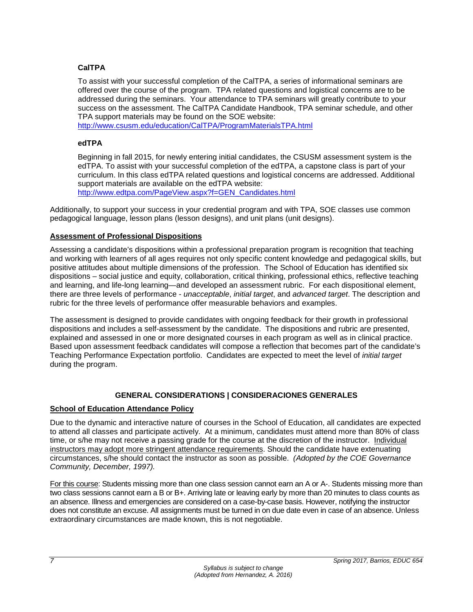# <span id="page-7-0"></span>**CalTPA**

To assist with your successful completion of the CalTPA, a series of informational seminars are offered over the course of the program. TPA related questions and logistical concerns are to be addressed during the seminars. Your attendance to TPA seminars will greatly contribute to your success on the assessment. The CalTPA Candidate Handbook, TPA seminar schedule, and other TPA support materials may be found on the SOE website:

<http://www.csusm.edu/education/CalTPA/ProgramMaterialsTPA.html>

#### <span id="page-7-1"></span>**edTPA**

Beginning in fall 2015, for newly entering initial candidates, the CSUSM assessment system is the edTPA. To assist with your successful completion of the edTPA, a capstone class is part of your curriculum. In this class edTPA related questions and logistical concerns are addressed. Additional support materials are available on the edTPA website: [http://www.edtpa.com/PageView.aspx?f=GEN\\_Candidates.html](http://www.edtpa.com/PageView.aspx?f=GEN_Candidates.html)

Additionally, to support your success in your credential program and with TPA, SOE classes use common pedagogical language, lesson plans (lesson designs), and unit plans (unit designs).

#### <span id="page-7-2"></span>**Assessment of Professional Dispositions**

Assessing a candidate's dispositions within a professional preparation program is recognition that teaching and working with learners of all ages requires not only specific content knowledge and pedagogical skills, but positive attitudes about multiple dimensions of the profession. The School of Education has identified six dispositions – social justice and equity, collaboration, critical thinking, professional ethics, reflective teaching and learning, and life-long learning—and developed an assessment rubric. For each dispositional element, there are three levels of performance - *unacceptable*, *initial target*, and *advanced target*. The description and rubric for the three levels of performance offer measurable behaviors and examples.

The assessment is designed to provide candidates with ongoing feedback for their growth in professional dispositions and includes a self-assessment by the candidate. The dispositions and rubric are presented, explained and assessed in one or more designated courses in each program as well as in clinical practice. Based upon assessment feedback candidates will compose a reflection that becomes part of the candidate's Teaching Performance Expectation portfolio. Candidates are expected to meet the level of *initial target* during the program.

# **GENERAL CONSIDERATIONS | CONSIDERACIONES GENERALES**

#### <span id="page-7-4"></span><span id="page-7-3"></span>**School of Education Attendance Policy**

Due to the dynamic and interactive nature of courses in the School of Education, all candidates are expected to attend all classes and participate actively. At a minimum, candidates must attend more than 80% of class time, or s/he may not receive a passing grade for the course at the discretion of the instructor. Individual instructors may adopt more stringent attendance requirements. Should the candidate have extenuating circumstances, s/he should contact the instructor as soon as possible. *(Adopted by the COE Governance Community, December, 1997).*

For this course: Students missing more than one class session cannot earn an A or A-. Students missing more than two class sessions cannot earn a B or B+. Arriving late or leaving early by more than 20 minutes to class counts as an absence. Illness and emergencies are considered on a case-by-case basis. However, notifying the instructor does not constitute an excuse. All assignments must be turned in on due date even in case of an absence. Unless extraordinary circumstances are made known, this is not negotiable.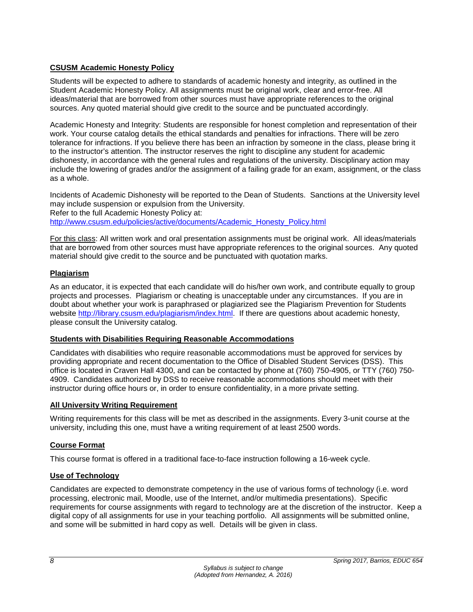# <span id="page-8-0"></span>**CSUSM Academic Honesty Policy**

Students will be expected to adhere to standards of academic honesty and integrity, as outlined in the Student Academic Honesty Policy. All assignments must be original work, clear and error-free. All ideas/material that are borrowed from other sources must have appropriate references to the original sources. Any quoted material should give credit to the source and be punctuated accordingly.

Academic Honesty and Integrity: Students are responsible for honest completion and representation of their work. Your course catalog details the ethical standards and penalties for infractions. There will be zero tolerance for infractions. If you believe there has been an infraction by someone in the class, please bring it to the instructor's attention. The instructor reserves the right to discipline any student for academic dishonesty, in accordance with the general rules and regulations of the university. Disciplinary action may include the lowering of grades and/or the assignment of a failing grade for an exam, assignment, or the class as a whole.

Incidents of Academic Dishonesty will be reported to the Dean of Students. Sanctions at the University level may include suspension or expulsion from the University. Refer to the full Academic Honesty Policy at: [http://www.csusm.edu/policies/active/documents/Academic\\_Honesty\\_Policy.html](http://www.csusm.edu/policies/active/documents/Academic_Honesty_Policy.html)

For this class: All written work and oral presentation assignments must be original work. All ideas/materials that are borrowed from other sources must have appropriate references to the original sources. Any quoted material should give credit to the source and be punctuated with quotation marks.

# <span id="page-8-1"></span>**Plagiarism**

As an educator, it is expected that each candidate will do his/her own work, and contribute equally to group projects and processes. Plagiarism or cheating is unacceptable under any circumstances. If you are in doubt about whether your work is paraphrased or plagiarized see the Plagiarism Prevention for Students website [http://library.csusm.edu/plagiarism/index.html.](http://library.csusm.edu/plagiarism/index.html) If there are questions about academic honesty, please consult the University catalog.

#### <span id="page-8-2"></span>**Students with Disabilities Requiring Reasonable Accommodations**

Candidates with disabilities who require reasonable accommodations must be approved for services by providing appropriate and recent documentation to the Office of Disabled Student Services (DSS). This office is located in Craven Hall 4300, and can be contacted by phone at (760) 750-4905, or TTY (760) 750- 4909. Candidates authorized by DSS to receive reasonable accommodations should meet with their instructor during office hours or, in order to ensure confidentiality, in a more private setting.

# <span id="page-8-3"></span>**All University Writing Requirement**

Writing requirements for this class will be met as described in the assignments. Every 3-unit course at the university, including this one, must have a writing requirement of at least 2500 words.

# <span id="page-8-4"></span>**Course Format**

This course format is offered in a traditional face-to-face instruction following a 16-week cycle.

# <span id="page-8-5"></span>**Use of Technology**

Candidates are expected to demonstrate competency in the use of various forms of technology (i.e. word processing, electronic mail, Moodle, use of the Internet, and/or multimedia presentations). Specific requirements for course assignments with regard to technology are at the discretion of the instructor. Keep a digital copy of all assignments for use in your teaching portfolio. All assignments will be submitted online, and some will be submitted in hard copy as well. Details will be given in class.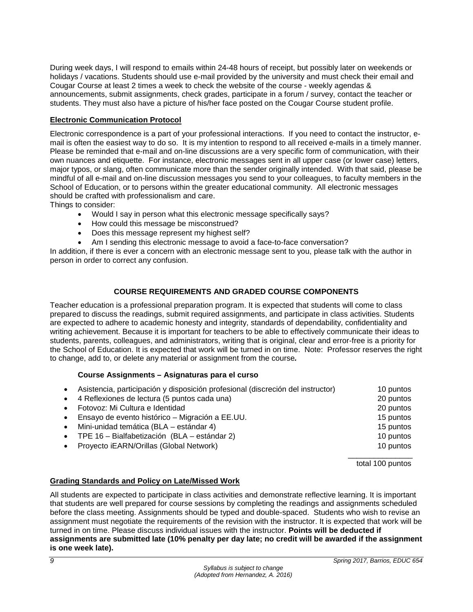During week days, I will respond to emails within 24-48 hours of receipt, but possibly later on weekends or holidays / vacations. Students should use e-mail provided by the university and must check their email and Cougar Course at least 2 times a week to check the website of the course - weekly agendas & announcements, submit assignments, check grades, participate in a forum / survey, contact the teacher or students. They must also have a picture of his/her face posted on the Cougar Course student profile.

#### <span id="page-9-0"></span>**Electronic Communication Protocol**

Electronic correspondence is a part of your professional interactions. If you need to contact the instructor, email is often the easiest way to do so. It is my intention to respond to all received e-mails in a timely manner. Please be reminded that e-mail and on-line discussions are a very specific form of communication, with their own nuances and etiquette. For instance, electronic messages sent in all upper case (or lower case) letters, major typos, or slang, often communicate more than the sender originally intended. With that said, please be mindful of all e-mail and on-line discussion messages you send to your colleagues, to faculty members in the School of Education, or to persons within the greater educational community. All electronic messages should be crafted with professionalism and care.

Things to consider:

- Would I say in person what this electronic message specifically says?
- How could this message be misconstrued?
- Does this message represent my highest self?
- Am I sending this electronic message to avoid a face-to-face conversation?

In addition, if there is ever a concern with an electronic message sent to you, please talk with the author in person in order to correct any confusion.

#### **COURSE REQUIREMENTS AND GRADED COURSE COMPONENTS**

<span id="page-9-1"></span>Teacher education is a professional preparation program. It is expected that students will come to class prepared to discuss the readings, submit required assignments, and participate in class activities. Students are expected to adhere to academic honesty and integrity, standards of dependability, confidentiality and writing achievement. Because it is important for teachers to be able to effectively communicate their ideas to students, parents, colleagues, and administrators, writing that is original, clear and error-free is a priority for the School of Education. It is expected that work will be turned in on time. Note: Professor reserves the right to change, add to, or delete any material or assignment from the course*.*

#### **Course Assignments – Asignaturas para el curso**

<span id="page-9-2"></span>

|           | Asistencia, participación y disposición profesional (discreción del instructor) | 10 puntos |
|-----------|---------------------------------------------------------------------------------|-----------|
|           | 4 Reflexiones de lectura (5 puntos cada una)                                    | 20 puntos |
|           | Fotovoz: Mi Cultura e Identidad                                                 | 20 puntos |
|           | Ensayo de evento histórico - Migración a EE.UU.                                 | 15 puntos |
| $\bullet$ | Mini-unidad temática (BLA – estándar 4)                                         | 15 puntos |
|           | TPE 16 - Bialfabetización (BLA - estándar 2)                                    | 10 puntos |
|           | Proyecto iEARN/Orillas (Global Network)                                         | 10 puntos |
|           |                                                                                 |           |

total 100 puntos

# <span id="page-9-3"></span>**Grading Standards and Policy on Late/Missed Work**

All students are expected to participate in class activities and demonstrate reflective learning. It is important that students are well prepared for course sessions by completing the readings and assignments scheduled before the class meeting. Assignments should be typed and double-spaced. Students who wish to revise an assignment must negotiate the requirements of the revision with the instructor. It is expected that work will be turned in on time. Please discuss individual issues with the instructor. **Points will be deducted if assignments are submitted late (10% penalty per day late; no credit will be awarded if the assignment is one week late).**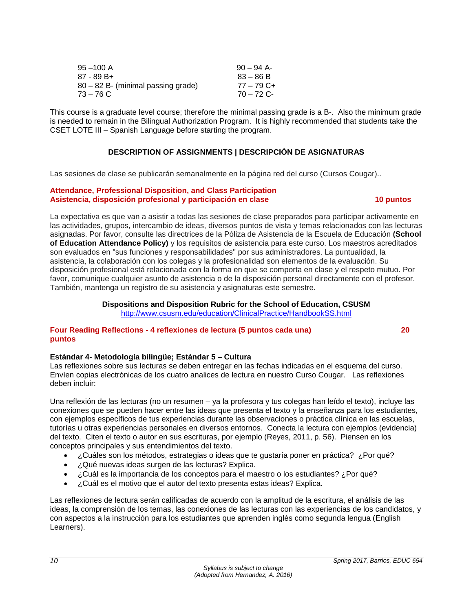| $95 - 100$ A                       | $90 - 94$ A- |
|------------------------------------|--------------|
| 87 - 89 B+                         | $83 - 86 B$  |
| 80 – 82 B- (minimal passing grade) | $77 - 79$ C+ |
| $73 - 76$ C                        | $70 - 72$ C- |

This course is a graduate level course; therefore the minimal passing grade is a B-. Also the minimum grade is needed to remain in the Bilingual Authorization Program. It is highly recommended that students take the CSET LOTE III – Spanish Language before starting the program.

#### **DESCRIPTION OF ASSIGNMENTS | DESCRIPCIÓN DE ASIGNATURAS**

<span id="page-10-0"></span>Las sesiones de clase se publicarán semanalmente en la página red del curso (Cursos Cougar)..

#### **Attendance, Professional Disposition, and Class Participation Asistencia, disposición profesional y participación en clase 10 puntos**

La expectativa es que van a asistir a todas las sesiones de clase preparados para participar activamente en las actividades, grupos, intercambio de ideas, diversos puntos de vista y temas relacionados con las lecturas asignadas. Por favor, consulte las directrices de la Póliza de Asistencia de la Escuela de Educación **(School of Education Attendance Policy)** y los requisitos de asistencia para este curso. Los maestros acreditados son evaluados en "sus funciones y responsabilidades" por sus administradores. La puntualidad, la asistencia, la colaboración con los colegas y la profesionalidad son elementos de la evaluación. Su disposición profesional está relacionada con la forma en que se comporta en clase y el respeto mutuo. Por favor, comunique cualquier asunto de asistencia o de la disposición personal directamente con el profesor. También, mantenga un registro de su asistencia y asignaturas este semestre.

#### **Dispositions and Disposition Rubric for the School of Education, CSUSM** <http://www.csusm.edu/education/ClinicalPractice/HandbookSS.html>

#### **Four Reading Reflections - 4 reflexiones de lectura (5 puntos cada una) 20 puntos**

#### **Estándar 4- Metodología bilingüe; Estándar 5 – Cultura**

Las reflexiones sobre sus lecturas se deben entregar en las fechas indicadas en el esquema del curso. Envíen copias electrónicas de los cuatro analices de lectura en nuestro Curso Cougar. Las reflexiones deben incluir:

Una reflexión de las lecturas (no un resumen – ya la profesora y tus colegas han leído el texto), incluye las conexiones que se pueden hacer entre las ideas que presenta el texto y la enseñanza para los estudiantes, con ejemplos específicos de tus experiencias durante las observaciones o práctica clínica en las escuelas, tutorías u otras experiencias personales en diversos entornos. Conecta la lectura con ejemplos (evidencia) del texto. Citen el texto o autor en sus escrituras, por ejemplo (Reyes, 2011, p. 56). Piensen en los conceptos principales y sus entendimientos del texto.

- ¿Cuáles son los métodos, estrategias o ideas que te gustaría poner en práctica? ¿Por qué?
- ¿Qué nuevas ideas surgen de las lecturas? Explica.
- ¿Cuál es la importancia de los conceptos para el maestro o los estudiantes? ¿Por qué?
- ¿Cuál es el motivo que el autor del texto presenta estas ideas? Explica.

Las reflexiones de lectura serán calificadas de acuerdo con la amplitud de la escritura, el análisis de las ideas, la comprensión de los temas, las conexiones de las lecturas con las experiencias de los candidatos, y con aspectos a la instrucción para los estudiantes que aprenden inglés como segunda lengua (English Learners).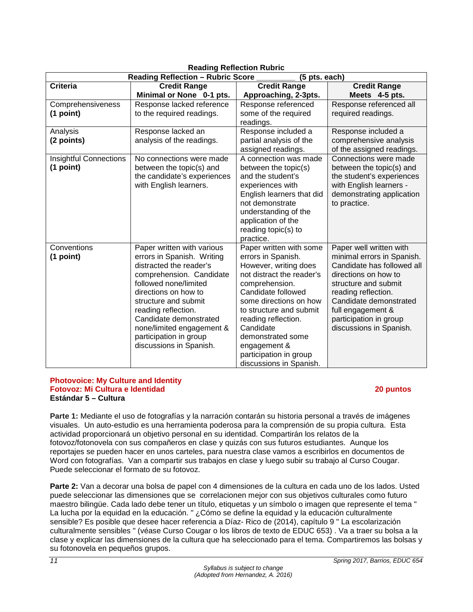| 1.944<br><b>Reading Reflection - Rubric Score</b><br>(5 pts. each) |                                                                                                                                                                                                                                                                                                                             |                                                                                                                                                                                                                                                                                                                                |                                                                                                                                                                                                                                                                |
|--------------------------------------------------------------------|-----------------------------------------------------------------------------------------------------------------------------------------------------------------------------------------------------------------------------------------------------------------------------------------------------------------------------|--------------------------------------------------------------------------------------------------------------------------------------------------------------------------------------------------------------------------------------------------------------------------------------------------------------------------------|----------------------------------------------------------------------------------------------------------------------------------------------------------------------------------------------------------------------------------------------------------------|
| <b>Criteria</b>                                                    | <b>Credit Range</b>                                                                                                                                                                                                                                                                                                         | <b>Credit Range</b>                                                                                                                                                                                                                                                                                                            | <b>Credit Range</b>                                                                                                                                                                                                                                            |
|                                                                    | Minimal or None 0-1 pts.                                                                                                                                                                                                                                                                                                    | Approaching, 2-3pts.                                                                                                                                                                                                                                                                                                           | Meets 4-5 pts.                                                                                                                                                                                                                                                 |
| Comprehensiveness                                                  | Response lacked reference                                                                                                                                                                                                                                                                                                   | Response referenced                                                                                                                                                                                                                                                                                                            | Response referenced all                                                                                                                                                                                                                                        |
| (1 point)                                                          | to the required readings.                                                                                                                                                                                                                                                                                                   | some of the required<br>readings.                                                                                                                                                                                                                                                                                              | required readings.                                                                                                                                                                                                                                             |
| Analysis                                                           | Response lacked an                                                                                                                                                                                                                                                                                                          | Response included a                                                                                                                                                                                                                                                                                                            | Response included a                                                                                                                                                                                                                                            |
| (2 points)                                                         | analysis of the readings.                                                                                                                                                                                                                                                                                                   | partial analysis of the<br>assigned readings.                                                                                                                                                                                                                                                                                  | comprehensive analysis<br>of the assigned readings.                                                                                                                                                                                                            |
| <b>Insightful Connections</b><br>(1 point)                         | No connections were made<br>between the topic(s) and<br>the candidate's experiences<br>with English learners.                                                                                                                                                                                                               | A connection was made<br>between the topic(s)<br>and the student's<br>experiences with<br>English learners that did<br>not demonstrate<br>understanding of the<br>application of the<br>reading topic(s) to<br>practice.                                                                                                       | Connections were made<br>between the topic(s) and<br>the student's experiences<br>with English learners -<br>demonstrating application<br>to practice.                                                                                                         |
| Conventions<br>(1 point)                                           | Paper written with various<br>errors in Spanish. Writing<br>distracted the reader's<br>comprehension. Candidate<br>followed none/limited<br>directions on how to<br>structure and submit<br>reading reflection.<br>Candidate demonstrated<br>none/limited engagement &<br>participation in group<br>discussions in Spanish. | Paper written with some<br>errors in Spanish.<br>However, writing does<br>not distract the reader's<br>comprehension.<br>Candidate followed<br>some directions on how<br>to structure and submit<br>reading reflection.<br>Candidate<br>demonstrated some<br>engagement &<br>participation in group<br>discussions in Spanish. | Paper well written with<br>minimal errors in Spanish.<br>Candidate has followed all<br>directions on how to<br>structure and submit<br>reading reflection.<br>Candidate demonstrated<br>full engagement &<br>participation in group<br>discussions in Spanish. |

# **Reading Reflection Rubric**

#### **Photovoice: My Culture and Identity Fotovoz: Mi Cultura e Identidad 20 puntos Estándar 5 – Cultura**

**Parte 1:** Mediante el uso de fotografías y la narración contarán su historia personal a través de imágenes visuales. Un auto-estudio es una herramienta poderosa para la comprensión de su propia cultura. Esta actividad proporcionará un objetivo personal en su identidad. Compartirán los relatos de la fotovoz/fotonovela con sus compañeros en clase y quizás con sus futuros estudiantes. Aunque los reportajes se pueden hacer en unos carteles, para nuestra clase vamos a escribirlos en documentos de Word con fotografías. Van a compartir sus trabajos en clase y luego subir su trabajo al Curso Cougar. Puede seleccionar el formato de su fotovoz.

**Parte 2:** Van a decorar una bolsa de papel con 4 dimensiones de la cultura en cada uno de los lados. Usted puede seleccionar las dimensiones que se correlacionen mejor con sus objetivos culturales como futuro maestro bilingüe. Cada lado debe tener un título, etiquetas y un símbolo o imagen que represente el tema " La lucha por la equidad en la educación. " ¿Cómo se define la equidad y la educación culturalmente sensible? Es posible que desee hacer referencia a Díaz- Rico de (2014), capítulo 9 " La escolarización culturalmente sensibles " (véase Curso Cougar o los libros de texto de EDUC 653) . Va a traer su bolsa a la clase y explicar las dimensiones de la cultura que ha seleccionado para el tema. Compartiremos las bolsas y su fotonovela en pequeños grupos.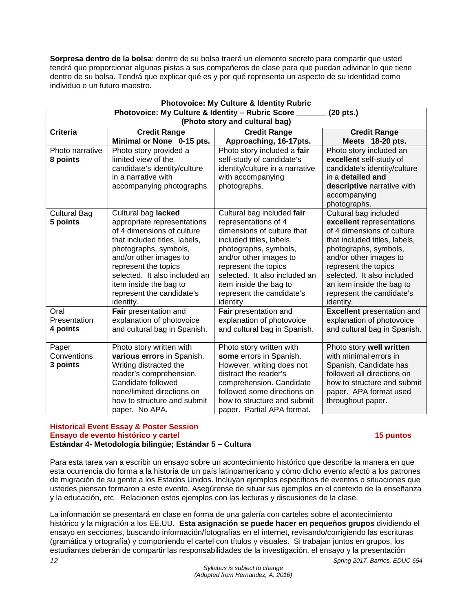**Sorpresa dentro de la bolsa**: dentro de su bolsa traerá un elemento secreto para compartir que usted tendrá que proporcionar algunas pistas a sus compañeros de clase para que puedan adivinar lo que tiene dentro de su bolsa. Tendrá que explicar qué es y por qué representa un aspecto de su identidad como individuo o un futuro maestro.

| <b>Photovoice: My Culture &amp; Identity Rubric</b>           |                                               |                                                         |                                                      |  |  |
|---------------------------------------------------------------|-----------------------------------------------|---------------------------------------------------------|------------------------------------------------------|--|--|
| Photovoice: My Culture & Identity - Rubric Score<br>(20 pts.) |                                               |                                                         |                                                      |  |  |
| (Photo story and cultural bag)                                |                                               |                                                         |                                                      |  |  |
| <b>Criteria</b>                                               | <b>Credit Range</b>                           | <b>Credit Range</b>                                     | <b>Credit Range</b>                                  |  |  |
|                                                               | Minimal or None 0-15 pts.                     | Approaching, 16-17pts.                                  | Meets 18-20 pts.                                     |  |  |
| Photo narrative                                               | Photo story provided a                        | Photo story included a fair                             | Photo story included an                              |  |  |
| 8 points                                                      | limited view of the                           | self-study of candidate's                               | excellent self-study of                              |  |  |
|                                                               | candidate's identity/culture                  | identity/culture in a narrative                         | candidate's identity/culture                         |  |  |
|                                                               | in a narrative with                           | with accompanying                                       | in a detailed and                                    |  |  |
|                                                               | accompanying photographs.                     | photographs.                                            | descriptive narrative with                           |  |  |
|                                                               |                                               |                                                         | accompanying                                         |  |  |
|                                                               |                                               |                                                         | photographs.                                         |  |  |
| <b>Cultural Bag</b>                                           | Cultural bag lacked                           | Cultural bag included fair                              | Cultural bag included                                |  |  |
| 5 points                                                      | appropriate representations                   | representations of 4                                    | excellent representations                            |  |  |
|                                                               | of 4 dimensions of culture                    | dimensions of culture that                              | of 4 dimensions of culture                           |  |  |
| that included titles, labels,<br>included titles, labels,     |                                               | that included titles, labels,                           |                                                      |  |  |
| photographs, symbols,<br>photographs, symbols,                |                                               | photographs, symbols,                                   |                                                      |  |  |
|                                                               | and/or other images to                        | and/or other images to                                  | and/or other images to                               |  |  |
|                                                               | represent the topics                          | represent the topics                                    | represent the topics                                 |  |  |
|                                                               | selected. It also included an                 | selected. It also included an                           | selected. It also included                           |  |  |
|                                                               | item inside the bag to                        | item inside the bag to                                  | an item inside the bag to                            |  |  |
|                                                               | represent the candidate's                     | represent the candidate's                               | represent the candidate's                            |  |  |
|                                                               | identity.                                     | identity.                                               | identity.                                            |  |  |
| Oral                                                          | Fair presentation and                         | Fair presentation and                                   | <b>Excellent</b> presentation and                    |  |  |
| Presentation                                                  | explanation of photovoice                     | explanation of photovoice                               | explanation of photovoice                            |  |  |
| 4 points                                                      | and cultural bag in Spanish.                  | and cultural bag in Spanish.                            | and cultural bag in Spanish.                         |  |  |
|                                                               |                                               |                                                         |                                                      |  |  |
| Paper<br>Conventions                                          | Photo story written with                      | Photo story written with                                | Photo story well written<br>with minimal errors in   |  |  |
|                                                               | various errors in Spanish.                    | some errors in Spanish.                                 |                                                      |  |  |
| 3 points                                                      | Writing distracted the                        | However, writing does not<br>distract the reader's      | Spanish. Candidate has<br>followed all directions on |  |  |
|                                                               | reader's comprehension.<br>Candidate followed |                                                         | how to structure and submit                          |  |  |
|                                                               | none/limited directions on                    | comprehension. Candidate<br>followed some directions on | paper. APA format used                               |  |  |
|                                                               | how to structure and submit                   | how to structure and submit                             | throughout paper.                                    |  |  |
|                                                               | paper. No APA.                                | paper. Partial APA format.                              |                                                      |  |  |
|                                                               |                                               |                                                         |                                                      |  |  |

#### **Historical Event Essay & Poster Session Ensayo de evento histórico y cartel 15 puntos Estándar 4- Metodología bilingüe; Estándar 5 – Cultura**

Para esta tarea van a escribir un ensayo sobre un acontecimiento histórico que describe la manera en que esta ocurrencia dio forma a la historia de un país latinoamericano y cómo dicho evento afectó a los patrones de migración de su gente a los Estados Unidos. Incluyan ejemplos específicos de eventos o situaciones que ustedes piensan formaron a este evento. Asegúrense de situar sus ejemplos en el contexto de la enseñanza y la educación, etc. Relacionen estos ejemplos con las lecturas y discusiones de la clase.

La información se presentará en clase en forma de una galería con carteles sobre el acontecimiento histórico y la migración a los EE.UU. **Esta asignación se puede hacer en pequeños grupos** dividiendo el ensayo en secciones, buscando información/fotografías en el internet, revisando/corrigiendo las escrituras (gramática y ortografía) y componiendo el cartel con títulos y visuales. Si trabajan juntos en grupos, los estudiantes deberán de compartir las responsabilidades de la investigación, el ensayo y la presentación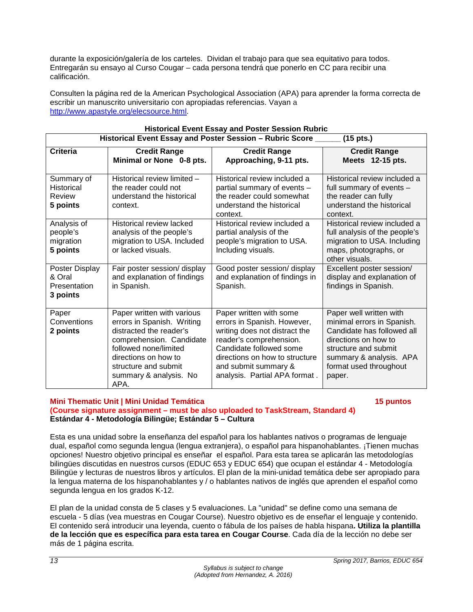durante la exposición/galería de los carteles. Dividan el trabajo para que sea equitativo para todos. Entregarán su ensayo al Curso Cougar – cada persona tendrá que ponerlo en CC para recibir una calificación.

Consulten la página red de la American Psychological Association (APA) para aprender la forma correcta de escribir un manuscrito universitario con apropiadas referencias. Vayan a [http://www.apastyle.org/elecsource.html.](http://www.apastyle.org/elecsource.html)

| <b>INSIDINAL EVENT LOOD AND FUSICI JESSION NUMBER</b><br>Historical Event Essay and Poster Session - Rubric Score _<br>$(15$ pts.) |                                                                                                                                                                                                                            |                                                                                                                                                                                                                                          |                                                                                                                                                                                                    |
|------------------------------------------------------------------------------------------------------------------------------------|----------------------------------------------------------------------------------------------------------------------------------------------------------------------------------------------------------------------------|------------------------------------------------------------------------------------------------------------------------------------------------------------------------------------------------------------------------------------------|----------------------------------------------------------------------------------------------------------------------------------------------------------------------------------------------------|
| <b>Criteria</b>                                                                                                                    | <b>Credit Range</b><br>Minimal or None 0-8 pts.                                                                                                                                                                            | <b>Credit Range</b><br>Approaching, 9-11 pts.                                                                                                                                                                                            | <b>Credit Range</b><br>Meets 12-15 pts.                                                                                                                                                            |
| Summary of<br><b>Historical</b><br>Review<br>5 points                                                                              | Historical review limited -<br>the reader could not<br>understand the historical<br>context.                                                                                                                               | Historical review included a<br>partial summary of events -<br>the reader could somewhat<br>understand the historical<br>context.                                                                                                        | Historical review included a<br>full summary of events -<br>the reader can fully<br>understand the historical<br>context.                                                                          |
| Analysis of<br>people's<br>migration<br>5 points                                                                                   | Historical review lacked<br>analysis of the people's<br>migration to USA. Included<br>or lacked visuals.                                                                                                                   | Historical review included a<br>partial analysis of the<br>people's migration to USA.<br>Including visuals.                                                                                                                              | Historical review included a<br>full analysis of the people's<br>migration to USA. Including<br>maps, photographs, or<br>other visuals.                                                            |
| Poster Display<br>& Oral<br>Presentation<br>3 points                                                                               | Fair poster session/ display<br>and explanation of findings<br>in Spanish.                                                                                                                                                 | Good poster session/ display<br>and explanation of findings in<br>Spanish.                                                                                                                                                               | Excellent poster session/<br>display and explanation of<br>findings in Spanish.                                                                                                                    |
| Paper<br>Conventions<br>2 points                                                                                                   | Paper written with various<br>errors in Spanish. Writing<br>distracted the reader's<br>comprehension. Candidate<br>followed none/limited<br>directions on how to<br>structure and submit<br>summary & analysis. No<br>APA. | Paper written with some<br>errors in Spanish. However,<br>writing does not distract the<br>reader's comprehension.<br>Candidate followed some<br>directions on how to structure<br>and submit summary &<br>analysis. Partial APA format. | Paper well written with<br>minimal errors in Spanish.<br>Candidate has followed all<br>directions on how to<br>structure and submit<br>summary & analysis. APA<br>format used throughout<br>paper. |

# **Historical Event Essay and Poster Session Rubric**

#### **Mini Thematic Unit | Mini Unidad Temática 15 puntos**

#### **(Course signature assignment – must be also uploaded to TaskStream, Standard 4) Estándar 4 - Metodología Bilingüe; Estándar 5 – Cultura**

Esta es una unidad sobre la enseñanza del español para los hablantes nativos o programas de lenguaje dual, español como segunda lengua (lengua extranjera), o español para hispanohablantes. ¡Tienen muchas opciones! Nuestro objetivo principal es enseñar el español. Para esta tarea se aplicarán las metodologías bilingües discutidas en nuestros cursos (EDUC 653 y EDUC 654) que ocupan el estándar 4 - Metodología Bilingüe y lecturas de nuestros libros y artículos. El plan de la mini-unidad temática debe ser apropiado para la lengua materna de los hispanohablantes y / o hablantes nativos de inglés que aprenden el español como segunda lengua en los grados K-12.

El plan de la unidad consta de 5 clases y 5 evaluaciones. La "unidad" se define como una semana de escuela - 5 días (vea muestras en Cougar Course). Nuestro objetivo es de enseñar el lenguaje y contenido. El contenido será introducir una leyenda, cuento o fábula de los países de habla hispana**. Utiliza la plantilla de la lección que es específica para esta tarea en Cougar Course**. Cada día de la lección no debe ser más de 1 página escrita.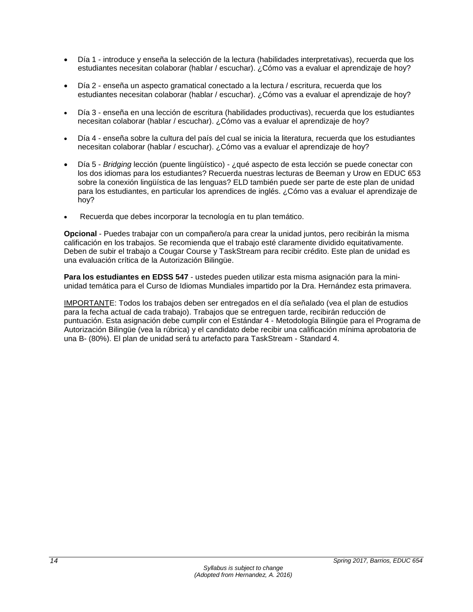- Día 1 introduce y enseña la selección de la lectura (habilidades interpretativas), recuerda que los estudiantes necesitan colaborar (hablar / escuchar). ¿Cómo vas a evaluar el aprendizaje de hoy?
- Día 2 enseña un aspecto gramatical conectado a la lectura / escritura, recuerda que los estudiantes necesitan colaborar (hablar / escuchar). ¿Cómo vas a evaluar el aprendizaje de hoy?
- Día 3 enseña en una lección de escritura (habilidades productivas), recuerda que los estudiantes necesitan colaborar (hablar / escuchar). ¿Cómo vas a evaluar el aprendizaje de hoy?
- Día 4 enseña sobre la cultura del país del cual se inicia la literatura, recuerda que los estudiantes necesitan colaborar (hablar / escuchar). ¿Cómo vas a evaluar el aprendizaje de hoy?
- Día 5 *Bridging* lección (puente lingüístico) ¿qué aspecto de esta lección se puede conectar con los dos idiomas para los estudiantes? Recuerda nuestras lecturas de Beeman y Urow en EDUC 653 sobre la conexión lingüística de las lenguas? ELD también puede ser parte de este plan de unidad para los estudiantes, en particular los aprendices de inglés. ¿Cómo vas a evaluar el aprendizaje de hoy?
- Recuerda que debes incorporar la tecnología en tu plan temático.

**Opcional** - Puedes trabajar con un compañero/a para crear la unidad juntos, pero recibirán la misma calificación en los trabajos. Se recomienda que el trabajo esté claramente dividido equitativamente. Deben de subir el trabajo a Cougar Course y TaskStream para recibir crédito. Este plan de unidad es una evaluación crítica de la Autorización Bilingüe.

**Para los estudiantes en EDSS 547** - ustedes pueden utilizar esta misma asignación para la miniunidad temática para el Curso de Idiomas Mundiales impartido por la Dra. Hernández esta primavera.

IMPORTANTE: Todos los trabajos deben ser entregados en el día señalado (vea el plan de estudios para la fecha actual de cada trabajo). Trabajos que se entreguen tarde, recibirán reducción de puntuación. Esta asignación debe cumplir con el Estándar 4 - Metodología Bilingüe para el Programa de Autorización Bilingüe (vea la rúbrica) y el candidato debe recibir una calificación mínima aprobatoria de una B- (80%). El plan de unidad será tu artefacto para TaskStream - Standard 4.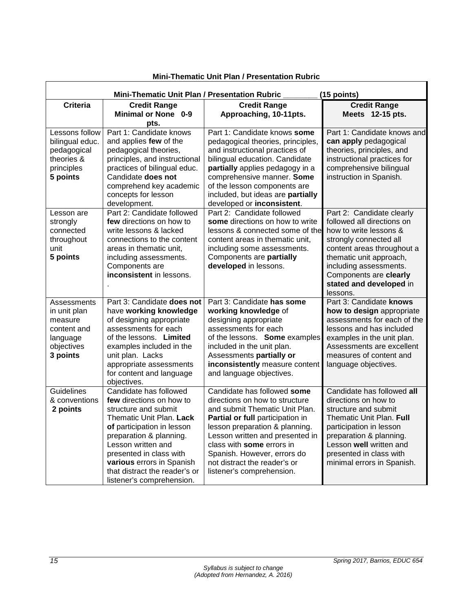| Mini-Thematic Unit Plan / Presentation Rubric<br>(15 points) |                                            |                                   |                                     |
|--------------------------------------------------------------|--------------------------------------------|-----------------------------------|-------------------------------------|
| <b>Criteria</b>                                              | <b>Credit Range</b>                        | <b>Credit Range</b>               | <b>Credit Range</b>                 |
|                                                              | <b>Minimal or None 0-9</b>                 | Approaching, 10-11pts.            | Meets 12-15 pts.                    |
|                                                              | pts.                                       |                                   |                                     |
| Lessons follow                                               | Part 1: Candidate knows                    | Part 1: Candidate knows some      | Part 1: Candidate knows and         |
| bilingual educ.                                              | and applies few of the                     | pedagogical theories, principles, | can apply pedagogical               |
| pedagogical                                                  | pedagogical theories,                      | and instructional practices of    | theories, principles, and           |
| theories &                                                   | principles, and instructional              | bilingual education. Candidate    | instructional practices for         |
| principles                                                   | practices of bilingual educ.               | partially applies pedagogy in a   | comprehensive bilingual             |
| 5 points                                                     | Candidate does not                         | comprehensive manner. Some        | instruction in Spanish.             |
|                                                              | comprehend key academic                    | of the lesson components are      |                                     |
|                                                              | concepts for lesson                        | included, but ideas are partially |                                     |
|                                                              | development.                               | developed or inconsistent.        |                                     |
| Lesson are                                                   | Part 2: Candidate followed                 | Part 2: Candidate followed        | Part 2: Candidate clearly           |
| strongly                                                     | few directions on how to                   | some directions on how to write   | followed all directions on          |
| connected                                                    | write lessons & lacked                     | lessons & connected some of the   | how to write lessons &              |
| throughout                                                   | connections to the content                 | content areas in thematic unit,   | strongly connected all              |
| unit                                                         | areas in thematic unit,                    | including some assessments.       | content areas throughout a          |
| 5 points                                                     | including assessments.                     | Components are partially          | thematic unit approach,             |
|                                                              | Components are<br>inconsistent in lessons. | developed in lessons.             | including assessments.              |
|                                                              |                                            |                                   | Components are clearly              |
|                                                              |                                            |                                   | stated and developed in             |
|                                                              | Part 3: Candidate does not                 | Part 3: Candidate has some        | lessons.<br>Part 3: Candidate knows |
| Assessments                                                  | have working knowledge                     | working knowledge of              | how to design appropriate           |
| in unit plan<br>measure                                      | of designing appropriate                   | designing appropriate             | assessments for each of the         |
| content and                                                  | assessments for each                       | assessments for each              | lessons and has included            |
| language                                                     | of the lessons. Limited                    | of the lessons. Some examples     | examples in the unit plan.          |
| objectives                                                   | examples included in the                   | included in the unit plan.        | Assessments are excellent           |
| 3 points                                                     | unit plan. Lacks                           | Assessments partially or          | measures of content and             |
|                                                              | appropriate assessments                    | inconsistently measure content    | language objectives.                |
|                                                              | for content and language                   | and language objectives.          |                                     |
|                                                              | objectives.                                |                                   |                                     |
| Guidelines                                                   | Candidate has followed                     | Candidate has followed some       | Candidate has followed all          |
| & conventions                                                | few directions on how to                   | directions on how to structure    | directions on how to                |
| 2 points                                                     | structure and submit                       | and submit Thematic Unit Plan.    | structure and submit                |
|                                                              | Thematic Unit Plan. Lack                   | Partial or full participation in  | Thematic Unit Plan. Full            |
|                                                              | of participation in lesson                 | lesson preparation & planning.    | participation in lesson             |
|                                                              | preparation & planning.                    | Lesson written and presented in   | preparation & planning.             |
|                                                              | Lesson written and                         | class with some errors in         | Lesson well written and             |
|                                                              | presented in class with                    | Spanish. However, errors do       | presented in class with             |
|                                                              | various errors in Spanish                  | not distract the reader's or      | minimal errors in Spanish.          |
|                                                              | that distract the reader's or              | listener's comprehension.         |                                     |
|                                                              | listener's comprehension.                  |                                   |                                     |

#### **Mini-Thematic Unit Plan / Presentation Rubric**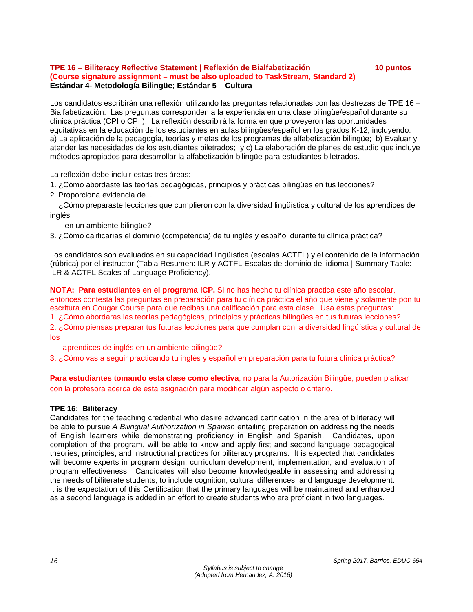#### **TPE 16 – Biliteracy Reflective Statement | Reflexión de Bialfabetización 10 puntos (Course signature assignment – must be also uploaded to TaskStream, Standard 2) Estándar 4- Metodología Bilingüe; Estándar 5 – Cultura**

Los candidatos escribirán una reflexión utilizando las preguntas relacionadas con las destrezas de TPE 16 – Bialfabetización. Las preguntas corresponden a la experiencia en una clase bilingüe/español durante su clínica práctica (CPI o CPII). La reflexión describirá la forma en que proveyeron las oportunidades equitativas en la educación de los estudiantes en aulas bilingües/español en los grados K-12, incluyendo: a) La aplicación de la pedagogía, teorías y metas de los programas de alfabetización bilingüe; b) Evaluar y atender las necesidades de los estudiantes biletrados; y c) La elaboración de planes de estudio que incluye métodos apropiados para desarrollar la alfabetización bilingüe para estudiantes biletrados.

La reflexión debe incluir estas tres áreas:

1. ¿Cómo abordaste las teorías pedagógicas, principios y prácticas bilingües en tus lecciones?

2. Proporciona evidencia de...

 ¿Cómo preparaste lecciones que cumplieron con la diversidad lingüística y cultural de los aprendices de inglés

en un ambiente bilingüe?

3. ¿Cómo calificarías el dominio (competencia) de tu inglés y español durante tu clínica práctica?

Los candidatos son evaluados en su capacidad lingüística (escalas ACTFL) y el contenido de la información (rúbrica) por el instructor (Tabla Resumen: ILR y ACTFL Escalas de dominio del idioma | Summary Table: ILR & ACTFL Scales of Language Proficiency).

**NOTA: Para estudiantes en el programa ICP.** Si no has hecho tu clínica practica este año escolar, entonces contesta las preguntas en preparación para tu clínica práctica el año que viene y solamente pon tu escritura en Cougar Course para que recibas una calificación para esta clase. Usa estas preguntas: 1. ¿Cómo abordaras las teorías pedagógicas, principios y prácticas bilingües en tus futuras lecciones? 2. ¿Cómo piensas preparar tus futuras lecciones para que cumplan con la diversidad lingüística y cultural de los

aprendices de inglés en un ambiente bilingüe?

3. ¿Cómo vas a seguir practicando tu inglés y español en preparación para tu futura clínica práctica?

**Para estudiantes tomando esta clase como electiva**, no para la Autorización Bilingüe, pueden platicar con la profesora acerca de esta asignación para modificar algún aspecto o criterio.

# **TPE 16: Biliteracy**

Candidates for the teaching credential who desire advanced certification in the area of biliteracy will be able to pursue *A Bilingual Authorization in Spanish* entailing preparation on addressing the needs of English learners while demonstrating proficiency in English and Spanish. Candidates, upon completion of the program, will be able to know and apply first and second language pedagogical theories, principles, and instructional practices for biliteracy programs. It is expected that candidates will become experts in program design, curriculum development, implementation, and evaluation of program effectiveness. Candidates will also become knowledgeable in assessing and addressing the needs of biliterate students, to include cognition, cultural differences, and language development. It is the expectation of this Certification that the primary languages will be maintained and enhanced as a second language is added in an effort to create students who are proficient in two languages.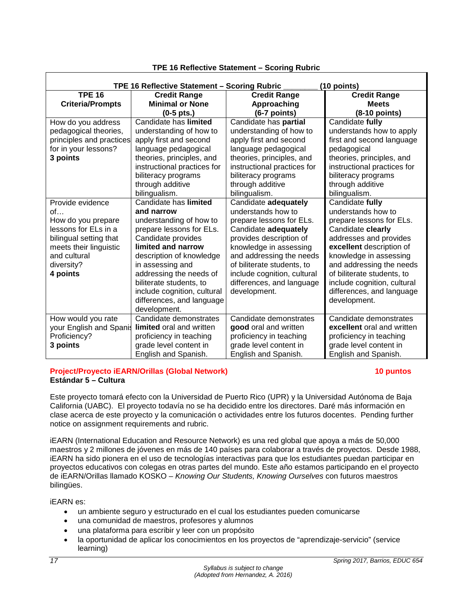| TPE 16 Reflective Statement - Scoring Rubric<br>(10 points) |                             |                             |                             |  |
|-------------------------------------------------------------|-----------------------------|-----------------------------|-----------------------------|--|
| <b>TPE 16</b>                                               | <b>Credit Range</b>         | <b>Credit Range</b>         | <b>Credit Range</b>         |  |
| <b>Criteria/Prompts</b>                                     | <b>Minimal or None</b>      | Approaching                 | <b>Meets</b>                |  |
|                                                             | $(0-5 \text{ pts.})$        | $(6-7$ points)              | $(8-10$ points)             |  |
| How do you address                                          | Candidate has limited       | Candidate has partial       | Candidate fully             |  |
| pedagogical theories,                                       | understanding of how to     | understanding of how to     | understands how to apply    |  |
| principles and practices                                    | apply first and second      | apply first and second      | first and second language   |  |
| for in your lessons?                                        | language pedagogical        | language pedagogical        | pedagogical                 |  |
| 3 points                                                    | theories, principles, and   | theories, principles, and   | theories, principles, and   |  |
|                                                             | instructional practices for | instructional practices for | instructional practices for |  |
|                                                             | biliteracy programs         | biliteracy programs         | biliteracy programs         |  |
|                                                             | through additive            | through additive            | through additive            |  |
|                                                             | bilingualism.               | bilingualism.               | bilingualism.               |  |
| Provide evidence                                            | Candidate has limited       | Candidate adequately        | Candidate fully             |  |
| of                                                          | and narrow                  | understands how to          | understands how to          |  |
| How do you prepare                                          | understanding of how to     | prepare lessons for ELs.    | prepare lessons for ELs.    |  |
| lessons for ELs in a                                        | prepare lessons for ELs.    | Candidate adequately        | Candidate clearly           |  |
| bilingual setting that                                      | Candidate provides          | provides description of     | addresses and provides      |  |
| meets their linguistic                                      | limited and narrow          | knowledge in assessing      | excellent description of    |  |
| and cultural                                                | description of knowledge    | and addressing the needs    | knowledge in assessing      |  |
| diversity?                                                  | in assessing and            | of biliterate students, to  | and addressing the needs    |  |
| 4 points                                                    | addressing the needs of     | include cognition, cultural | of biliterate students, to  |  |
|                                                             | biliterate students, to     | differences, and language   | include cognition, cultural |  |
|                                                             | include cognition, cultural | development.                | differences, and language   |  |
|                                                             | differences, and language   |                             | development.                |  |
|                                                             | development.                |                             |                             |  |
| How would you rate                                          | Candidate demonstrates      | Candidate demonstrates      | Candidate demonstrates      |  |
| your English and Spanis                                     | limited oral and written    | good oral and written       | excellent oral and written  |  |
| Proficiency?                                                | proficiency in teaching     | proficiency in teaching     | proficiency in teaching     |  |
| 3 points                                                    | grade level content in      | grade level content in      | grade level content in      |  |
|                                                             | English and Spanish.        | English and Spanish.        | English and Spanish.        |  |

# **TPE 16 Reflective Statement – Scoring Rubric**

#### **Project/Proyecto iEARN/Orillas (Global Network) 10 puntos Estándar 5 – Cultura**

Este proyecto tomará efecto con la Universidad de Puerto Rico (UPR) y la Universidad Autónoma de Baja California (UABC). El proyecto todavía no se ha decidido entre los directores. Daré más información en clase acerca de este proyecto y la comunicación o actividades entre los futuros docentes. Pending further notice on assignment requirements and rubric.

iEARN (International Education and Resource Network) es una red global que apoya a más de 50,000 maestros y 2 millones de jóvenes en más de 140 países para colaborar a través de proyectos. Desde 1988, iEARN ha sido pionera en el uso de tecnologías interactivas para que los estudiantes puedan participar en proyectos educativos con colegas en otras partes del mundo. Este año estamos participando en el proyecto de iEARN/Orillas llamado KOSKO – *Knowing Our Students, Knowing Ourselves* con futuros maestros bilingües.

iEARN es:

- un ambiente seguro y estructurado en el cual los estudiantes pueden comunicarse
- una comunidad de maestros, profesores y alumnos
- una plataforma para escribir y leer con un propósito
- la oportunidad de aplicar los conocimientos en los proyectos de "aprendizaje-servicio" (service learning)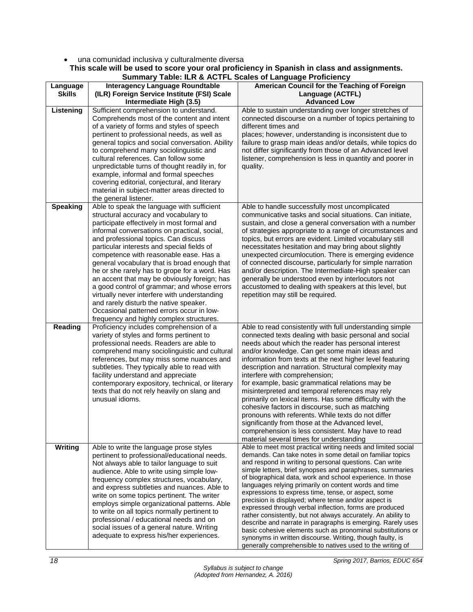#### • una comunidad inclusiva y culturalmente diversa **This scale will be used to score your oral proficiency in Spanish in class and assignments.**

|                           | <b>Summary Table: ILR &amp; ACTFL Scales of Language Proficiency</b>                                                                                                                                                                                                                                                                                                                                                                                                                                                                                                                                                                                                                                 |                                                                                                                                                                                                                                                                                                                                                                                                                                                                                                                                                                                                                                                                                                                                                                                                                                                                              |  |
|---------------------------|------------------------------------------------------------------------------------------------------------------------------------------------------------------------------------------------------------------------------------------------------------------------------------------------------------------------------------------------------------------------------------------------------------------------------------------------------------------------------------------------------------------------------------------------------------------------------------------------------------------------------------------------------------------------------------------------------|------------------------------------------------------------------------------------------------------------------------------------------------------------------------------------------------------------------------------------------------------------------------------------------------------------------------------------------------------------------------------------------------------------------------------------------------------------------------------------------------------------------------------------------------------------------------------------------------------------------------------------------------------------------------------------------------------------------------------------------------------------------------------------------------------------------------------------------------------------------------------|--|
| Language<br><b>Skills</b> | <b>Interagency Language Roundtable</b><br>(ILR) Foreign Service Institute (FSI) Scale<br>Intermediate High (3.5)                                                                                                                                                                                                                                                                                                                                                                                                                                                                                                                                                                                     | American Council for the Teaching of Foreign<br>Language (ACTFL)<br><b>Advanced Low</b>                                                                                                                                                                                                                                                                                                                                                                                                                                                                                                                                                                                                                                                                                                                                                                                      |  |
| Listening                 | Sufficient comprehension to understand.<br>Comprehends most of the content and intent<br>of a variety of forms and styles of speech<br>pertinent to professional needs, as well as<br>general topics and social conversation. Ability<br>to comprehend many sociolinguistic and<br>cultural references. Can follow some<br>unpredictable turns of thought readily in, for<br>example, informal and formal speeches<br>covering editorial, conjectural, and literary<br>material in subject-matter areas directed to<br>the general listener.                                                                                                                                                         | Able to sustain understanding over longer stretches of<br>connected discourse on a number of topics pertaining to<br>different times and<br>places; however, understanding is inconsistent due to<br>failure to grasp main ideas and/or details, while topics do<br>not differ significantly from those of an Advanced level<br>listener, comprehension is less in quantity and poorer in<br>quality.                                                                                                                                                                                                                                                                                                                                                                                                                                                                        |  |
| <b>Speaking</b>           | Able to speak the language with sufficient<br>structural accuracy and vocabulary to<br>participate effectively in most formal and<br>informal conversations on practical, social,<br>and professional topics. Can discuss<br>particular interests and special fields of<br>competence with reasonable ease. Has a<br>general vocabulary that is broad enough that<br>he or she rarely has to grope for a word. Has<br>an accent that may be obviously foreign; has<br>a good control of grammar; and whose errors<br>virtually never interfere with understanding<br>and rarely disturb the native speaker.<br>Occasional patterned errors occur in low-<br>frequency and highly complex structures. | Able to handle successfully most uncomplicated<br>communicative tasks and social situations. Can initiate,<br>sustain, and close a general conversation with a number<br>of strategies appropriate to a range of circumstances and<br>topics, but errors are evident. Limited vocabulary still<br>necessitates hesitation and may bring about slightly<br>unexpected circumlocution. There is emerging evidence<br>of connected discourse, particularly for simple narration<br>and/or description. The Intermediate-High speaker can<br>generally be understood even by interlocutors not<br>accustomed to dealing with speakers at this level, but<br>repetition may still be required.                                                                                                                                                                                    |  |
| Reading                   | Proficiency includes comprehension of a<br>variety of styles and forms pertinent to<br>professional needs. Readers are able to<br>comprehend many sociolinguistic and cultural<br>references, but may miss some nuances and<br>subtleties. They typically able to read with<br>facility understand and appreciate<br>contemporary expository, technical, or literary<br>texts that do not rely heavily on slang and<br>unusual idioms.                                                                                                                                                                                                                                                               | Able to read consistently with full understanding simple<br>connected texts dealing with basic personal and social<br>needs about which the reader has personal interest<br>and/or knowledge. Can get some main ideas and<br>information from texts at the next higher level featuring<br>description and narration. Structural complexity may<br>interfere with comprehension;<br>for example, basic grammatical relations may be<br>misinterpreted and temporal references may rely<br>primarily on lexical items. Has some difficulty with the<br>cohesive factors in discourse, such as matching<br>pronouns with referents. While texts do not differ<br>significantly from those at the Advanced level,<br>comprehension is less consistent. May have to read<br>material several times for understanding                                                              |  |
| <b>Writing</b>            | Able to write the language prose styles<br>pertinent to professional/educational needs.<br>Not always able to tailor language to suit<br>audience. Able to write using simple low-<br>frequency complex structures, vocabulary,<br>and express subtleties and nuances. Able to<br>write on some topics pertinent. The writer<br>employs simple organizational patterns. Able<br>to write on all topics normally pertinent to<br>professional / educational needs and on<br>social issues of a general nature. Writing<br>adequate to express his/her experiences.                                                                                                                                    | Able to meet most practical writing needs and limited social<br>demands. Can take notes in some detail on familiar topics<br>and respond in writing to personal questions. Can write<br>simple letters, brief synopses and paraphrases, summaries<br>of biographical data, work and school experience. In those<br>languages relying primarily on content words and time<br>expressions to express time, tense, or aspect, some<br>precision is displayed; where tense and/or aspect is<br>expressed through verbal inflection, forms are produced<br>rather consistently, but not always accurately. An ability to<br>describe and narrate in paragraphs is emerging. Rarely uses<br>basic cohesive elements such as pronominal substitutions or<br>synonyms in written discourse. Writing, though faulty, is<br>generally comprehensible to natives used to the writing of |  |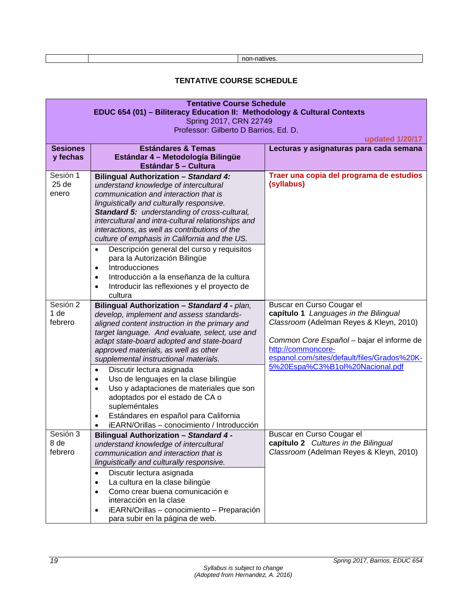| non-natives. |
|--------------|
|--------------|

#### **TENTATIVE COURSE SCHEDULE**

<span id="page-19-0"></span>

| <b>Tentative Course Schedule</b>                                         |                                                          |                                             |  |
|--------------------------------------------------------------------------|----------------------------------------------------------|---------------------------------------------|--|
| EDUC 654 (01) - Biliteracy Education II: Methodology & Cultural Contexts |                                                          |                                             |  |
| Spring 2017, CRN 22749                                                   |                                                          |                                             |  |
|                                                                          | Professor: Gilberto D Barrios, Ed. D.                    |                                             |  |
|                                                                          |                                                          | updated 1/20/17                             |  |
| <b>Sesiones</b>                                                          | <b>Estándares &amp; Temas</b>                            | Lecturas y asignaturas para cada semana     |  |
| y fechas                                                                 | Estándar 4 - Metodología Bilingüe                        |                                             |  |
|                                                                          | Estándar 5 - Cultura                                     |                                             |  |
| Sesión 1                                                                 | <b>Bilingual Authorization - Standard 4:</b>             | Traer una copia del programa de estudios    |  |
| 25 <sub>de</sub>                                                         | understand knowledge of intercultural                    | (syllabus)                                  |  |
| enero                                                                    | communication and interaction that is                    |                                             |  |
|                                                                          | linguistically and culturally responsive.                |                                             |  |
|                                                                          | Standard 5: understanding of cross-cultural,             |                                             |  |
|                                                                          | intercultural and intra-cultural relationships and       |                                             |  |
|                                                                          | interactions, as well as contributions of the            |                                             |  |
|                                                                          | culture of emphasis in California and the US.            |                                             |  |
|                                                                          | Descripción general del curso y requisitos<br>$\bullet$  |                                             |  |
|                                                                          | para la Autorización Bilingüe                            |                                             |  |
|                                                                          | Introducciones<br>$\bullet$                              |                                             |  |
|                                                                          | Introducción a la enseñanza de la cultura<br>$\bullet$   |                                             |  |
|                                                                          | Introducir las reflexiones y el proyecto de<br>$\bullet$ |                                             |  |
|                                                                          | cultura                                                  |                                             |  |
| Sesión 2                                                                 | Bilingual Authorization - Standard 4 - plan,             | Buscar en Curso Cougar el                   |  |
| 1 <sub>de</sub>                                                          | develop, implement and assess standards-                 | capítulo 1 Languages in the Bilingual       |  |
| febrero                                                                  | aligned content instruction in the primary and           | Classroom (Adelman Reyes & Kleyn, 2010)     |  |
|                                                                          | target language. And evaluate, select, use and           |                                             |  |
|                                                                          | adapt state-board adopted and state-board                | Common Core Español - bajar el informe de   |  |
|                                                                          | approved materials, as well as other                     | http://commoncore-                          |  |
|                                                                          | supplemental instructional materials.                    | espanol.com/sites/default/files/Grados%20K- |  |
|                                                                          | Discutir lectura asignada<br>$\bullet$                   | 5%20Espa%C3%B1ol%20Nacional.pdf             |  |
|                                                                          | Uso de lenguajes en la clase bilingüe<br>٠               |                                             |  |
|                                                                          | Uso y adaptaciones de materiales que son<br>$\bullet$    |                                             |  |
|                                                                          | adoptados por el estado de CA o                          |                                             |  |
|                                                                          | supleméntales                                            |                                             |  |
|                                                                          | Estándares en español para California<br>$\bullet$       |                                             |  |
|                                                                          | iEARN/Orillas - conocimiento / Introducción<br>$\bullet$ |                                             |  |
| Sesión 3                                                                 | <b>Bilingual Authorization - Standard 4 -</b>            | Buscar en Curso Cougar el                   |  |
| 8 de                                                                     | understand knowledge of intercultural                    | capítulo 2 Cultures in the Bilingual        |  |
| febrero                                                                  | communication and interaction that is                    | Classroom (Adelman Reyes & Kleyn, 2010)     |  |
|                                                                          | linguistically and culturally responsive.                |                                             |  |
|                                                                          | Discutir lectura asignada<br>$\bullet$                   |                                             |  |
|                                                                          | La cultura en la clase bilingüe<br>$\bullet$             |                                             |  |
|                                                                          | Como crear buena comunicación e<br>$\bullet$             |                                             |  |
|                                                                          | interacción en la clase                                  |                                             |  |
|                                                                          | iEARN/Orillas - conocimiento - Preparación<br>$\bullet$  |                                             |  |
|                                                                          | para subir en la página de web.                          |                                             |  |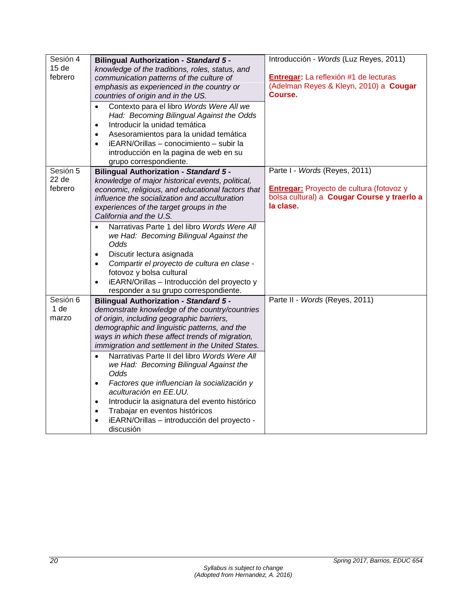| Sesión 4<br>15 <sub>de</sub><br>febrero | <b>Bilingual Authorization - Standard 5 -</b><br>knowledge of the traditions, roles, status, and<br>communication patterns of the culture of<br>emphasis as experienced in the country or<br>countries of origin and in the US.<br>Contexto para el libro Words Were All we<br>$\bullet$<br>Had: Becoming Bilingual Against the Odds<br>Introducir la unidad temática<br>$\bullet$<br>Asesoramientos para la unidad temática<br>$\bullet$<br>iEARN/Orillas - conocimiento - subir la<br>$\bullet$<br>introducción en la pagina de web en su<br>grupo correspondiente. | Introducción - Words (Luz Reyes, 2011)<br>Entregar: La reflexión #1 de lecturas<br>(Adelman Reyes & Kleyn, 2010) a Cougar<br>Course. |
|-----------------------------------------|-----------------------------------------------------------------------------------------------------------------------------------------------------------------------------------------------------------------------------------------------------------------------------------------------------------------------------------------------------------------------------------------------------------------------------------------------------------------------------------------------------------------------------------------------------------------------|--------------------------------------------------------------------------------------------------------------------------------------|
| Sesión 5                                | <b>Bilingual Authorization - Standard 5 -</b>                                                                                                                                                                                                                                                                                                                                                                                                                                                                                                                         | Parte I - Words (Reyes, 2011)                                                                                                        |
| 22 <sub>de</sub><br>febrero             | knowledge of major historical events, political,<br>economic, religious, and educational factors that<br>influence the socialization and acculturation<br>experiences of the target groups in the<br>California and the U.S.                                                                                                                                                                                                                                                                                                                                          | <b>Entregar:</b> Proyecto de cultura (fotovoz y<br>bolsa cultural) a Cougar Course y traerlo a<br>la clase.                          |
|                                         | Narrativas Parte 1 del libro Words Were All<br>$\bullet$<br>we Had: Becoming Bilingual Against the<br>Odds                                                                                                                                                                                                                                                                                                                                                                                                                                                            |                                                                                                                                      |
|                                         | Discutir lectura asignada                                                                                                                                                                                                                                                                                                                                                                                                                                                                                                                                             |                                                                                                                                      |
|                                         | $\bullet$<br>Compartir el proyecto de cultura en clase -                                                                                                                                                                                                                                                                                                                                                                                                                                                                                                              |                                                                                                                                      |
|                                         | $\bullet$<br>fotovoz y bolsa cultural                                                                                                                                                                                                                                                                                                                                                                                                                                                                                                                                 |                                                                                                                                      |
|                                         | iEARN/Orillas - Introducción del proyecto y<br>$\bullet$                                                                                                                                                                                                                                                                                                                                                                                                                                                                                                              |                                                                                                                                      |
|                                         | responder a su grupo correspondiente.                                                                                                                                                                                                                                                                                                                                                                                                                                                                                                                                 |                                                                                                                                      |
| Sesión 6                                | <b>Bilingual Authorization - Standard 5 -</b>                                                                                                                                                                                                                                                                                                                                                                                                                                                                                                                         | Parte II - Words (Reyes, 2011)                                                                                                       |
| 1 de                                    | demonstrate knowledge of the country/countries                                                                                                                                                                                                                                                                                                                                                                                                                                                                                                                        |                                                                                                                                      |
| marzo                                   | of origin, including geographic barriers,                                                                                                                                                                                                                                                                                                                                                                                                                                                                                                                             |                                                                                                                                      |
|                                         | demographic and linguistic patterns, and the                                                                                                                                                                                                                                                                                                                                                                                                                                                                                                                          |                                                                                                                                      |
|                                         | ways in which these affect trends of migration,                                                                                                                                                                                                                                                                                                                                                                                                                                                                                                                       |                                                                                                                                      |
|                                         | immigration and settlement in the United States.                                                                                                                                                                                                                                                                                                                                                                                                                                                                                                                      |                                                                                                                                      |
|                                         | Narrativas Parte II del libro Words Were All<br>$\bullet$<br>we Had: Becoming Bilingual Against the<br>Odds                                                                                                                                                                                                                                                                                                                                                                                                                                                           |                                                                                                                                      |
|                                         | Factores que influencian la socialización y<br>$\bullet$<br>aculturación en EE.UU.                                                                                                                                                                                                                                                                                                                                                                                                                                                                                    |                                                                                                                                      |
|                                         | Introducir la asignatura del evento histórico<br>$\bullet$                                                                                                                                                                                                                                                                                                                                                                                                                                                                                                            |                                                                                                                                      |
|                                         | Trabajar en eventos históricos<br>$\bullet$                                                                                                                                                                                                                                                                                                                                                                                                                                                                                                                           |                                                                                                                                      |
|                                         | iEARN/Orillas - introducción del proyecto -<br>$\bullet$                                                                                                                                                                                                                                                                                                                                                                                                                                                                                                              |                                                                                                                                      |
|                                         | discusión                                                                                                                                                                                                                                                                                                                                                                                                                                                                                                                                                             |                                                                                                                                      |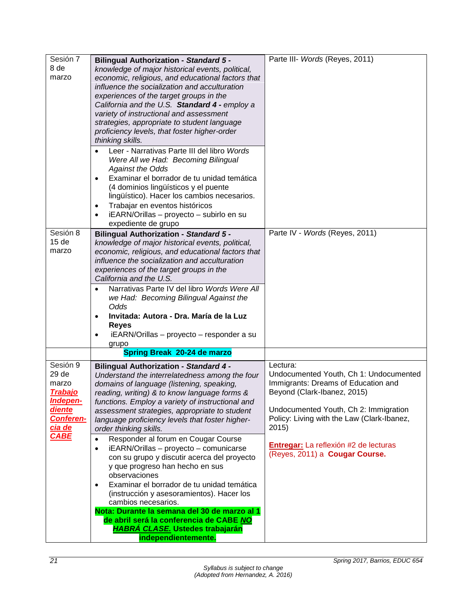| Sesión 7         | <b>Bilingual Authorization - Standard 5 -</b>                                                   | Parte III- Words (Reyes, 2011)             |
|------------------|-------------------------------------------------------------------------------------------------|--------------------------------------------|
| 8 de             | knowledge of major historical events, political,                                                |                                            |
| marzo            | economic, religious, and educational factors that                                               |                                            |
|                  | influence the socialization and acculturation                                                   |                                            |
|                  | experiences of the target groups in the                                                         |                                            |
|                  | California and the U.S. Standard 4 - employ a                                                   |                                            |
|                  | variety of instructional and assessment                                                         |                                            |
|                  | strategies, appropriate to student language                                                     |                                            |
|                  | proficiency levels, that foster higher-order                                                    |                                            |
|                  | thinking skills.                                                                                |                                            |
|                  | Leer - Narrativas Parte III del libro Words                                                     |                                            |
|                  | Were All we Had: Becoming Bilingual                                                             |                                            |
|                  | <b>Against the Odds</b>                                                                         |                                            |
|                  | Examinar el borrador de tu unidad temática                                                      |                                            |
|                  | (4 dominios lingüísticos y el puente                                                            |                                            |
|                  | lingüístico). Hacer los cambios necesarios.                                                     |                                            |
|                  | Trabajar en eventos históricos<br>$\bullet$                                                     |                                            |
|                  | iEARN/Orillas - proyecto - subirlo en su                                                        |                                            |
|                  | expediente de grupo                                                                             |                                            |
| Sesión 8         | <b>Bilingual Authorization - Standard 5 -</b>                                                   | Parte IV - Words (Reyes, 2011)             |
| 15 <sub>de</sub> | knowledge of major historical events, political,                                                |                                            |
| marzo            | economic, religious, and educational factors that                                               |                                            |
|                  | influence the socialization and acculturation                                                   |                                            |
|                  | experiences of the target groups in the                                                         |                                            |
|                  | California and the U.S.                                                                         |                                            |
|                  | Narrativas Parte IV del libro Words Were All                                                    |                                            |
|                  | we Had: Becoming Bilingual Against the                                                          |                                            |
|                  | Odds                                                                                            |                                            |
|                  | Invitada: Autora - Dra. María de la Luz                                                         |                                            |
|                  | <b>Reyes</b>                                                                                    |                                            |
|                  | iEARN/Orillas - proyecto - responder a su<br>grupo                                              |                                            |
|                  | Spring Break 20-24 de marzo                                                                     |                                            |
| Sesión 9         |                                                                                                 | Lectura:                                   |
| 29 de            | <b>Bilingual Authorization - Standard 4 -</b><br>Understand the interrelatedness among the four | Undocumented Youth, Ch 1: Undocumented     |
| marzo            | domains of language (listening, speaking,                                                       | Immigrants: Dreams of Education and        |
| <u>Trabajo</u>   | reading, writing) & to know language forms &                                                    | Beyond (Clark-Ibanez, 2015)                |
| Indepen-         | functions. Employ a variety of instructional and                                                |                                            |
| <b>diente</b>    | assessment strategies, appropriate to student                                                   | Undocumented Youth, Ch 2: Immigration      |
| Conferen-        | language proficiency levels that foster higher-                                                 | Policy: Living with the Law (Clark-Ibanez, |
| <u>cia de</u>    | order thinking skills.                                                                          | 2015)                                      |
| <b>CABE</b>      | Responder al forum en Cougar Course<br>$\bullet$                                                |                                            |
|                  | iEARN/Orillas - proyecto - comunicarse<br>$\bullet$                                             | Entregar: La reflexión #2 de lecturas      |
|                  | con su grupo y discutir acerca del proyecto                                                     | (Reyes, 2011) a Cougar Course.             |
|                  | y que progreso han hecho en sus                                                                 |                                            |
|                  | observaciones                                                                                   |                                            |
|                  | Examinar el borrador de tu unidad temática<br>$\bullet$                                         |                                            |
|                  | (instrucción y asesoramientos). Hacer los                                                       |                                            |
|                  | cambios necesarios.                                                                             |                                            |
|                  | Nota: Durante la semana del 30 de marzo al 1                                                    |                                            |
|                  | de abril será la conferencia de CABE NO                                                         |                                            |
|                  | <b>HABRÁ CLASE. Ustedes trabajarán</b>                                                          |                                            |
|                  | independientemente.                                                                             |                                            |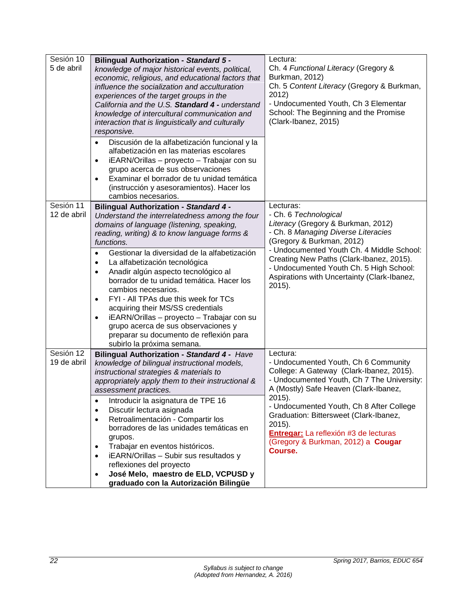| Sesión 10<br>5 de abril  | <b>Bilingual Authorization - Standard 5 -</b><br>knowledge of major historical events, political,<br>economic, religious, and educational factors that<br>influence the socialization and acculturation<br>experiences of the target groups in the<br>California and the U.S. Standard 4 - understand<br>knowledge of intercultural communication and<br>interaction that is linguistically and culturally<br>responsive.                                                                            | Lectura:<br>Ch. 4 Functional Literacy (Gregory &<br>Burkman, 2012)<br>Ch. 5 Content Literacy (Gregory & Burkman,<br>2012)<br>- Undocumented Youth, Ch 3 Elementar<br>School: The Beginning and the Promise<br>(Clark-Ibanez, 2015) |
|--------------------------|------------------------------------------------------------------------------------------------------------------------------------------------------------------------------------------------------------------------------------------------------------------------------------------------------------------------------------------------------------------------------------------------------------------------------------------------------------------------------------------------------|------------------------------------------------------------------------------------------------------------------------------------------------------------------------------------------------------------------------------------|
|                          | Discusión de la alfabetización funcional y la<br>$\bullet$<br>alfabetización en las materias escolares<br>iEARN/Orillas - proyecto - Trabajar con su<br>$\bullet$<br>grupo acerca de sus observaciones<br>Examinar el borrador de tu unidad temática<br>$\bullet$<br>(instrucción y asesoramientos). Hacer los<br>cambios necesarios.                                                                                                                                                                |                                                                                                                                                                                                                                    |
| Sesión 11<br>12 de abril | <b>Bilingual Authorization - Standard 4 -</b><br>Understand the interrelatedness among the four<br>domains of language (listening, speaking,<br>reading, writing) & to know language forms &<br>functions.                                                                                                                                                                                                                                                                                           | Lecturas:<br>- Ch. 6 Technological<br>Literacy (Gregory & Burkman, 2012)<br>- Ch. 8 Managing Diverse Literacies<br>(Gregory & Burkman, 2012)<br>- Undocumented Youth Ch. 4 Middle School:                                          |
|                          | Gestionar la diversidad de la alfabetización<br>$\bullet$<br>La alfabetización tecnológica<br>$\bullet$<br>Anadir algún aspecto tecnológico al<br>$\bullet$<br>borrador de tu unidad temática. Hacer los<br>cambios necesarios.<br>FYI - All TPAs due this week for TCs<br>$\bullet$<br>acquiring their MS/SS credentials<br>iEARN/Orillas - proyecto - Trabajar con su<br>$\bullet$<br>grupo acerca de sus observaciones y<br>preparar su documento de reflexión para<br>subirlo la próxima semana. | Creating New Paths (Clark-Ibanez, 2015).<br>- Undocumented Youth Ch. 5 High School:<br>Aspirations with Uncertainty (Clark-Ibanez,<br>$2015$ ).                                                                                    |
| Sesión 12<br>19 de abril | Bilingual Authorization - Standard 4 - Have<br>knowledge of bilingual instructional models,<br>instructional strategies & materials to<br>appropriately apply them to their instructional &<br>assessment practices.                                                                                                                                                                                                                                                                                 | Lectura:<br>- Undocumented Youth, Ch 6 Community<br>College: A Gateway (Clark-Ibanez, 2015).<br>- Undocumented Youth, Ch 7 The University:<br>A (Mostly) Safe Heaven (Clark-Ibanez,                                                |
|                          | Introducir la asignatura de TPE 16<br>Discutir lectura asignada<br>$\bullet$<br>Retroalimentación - Compartir los<br>$\bullet$<br>borradores de las unidades temáticas en<br>grupos.<br>Trabajar en eventos históricos.<br>$\bullet$<br>iEARN/Orillas - Subir sus resultados y<br>$\bullet$<br>reflexiones del proyecto<br>José Melo, maestro de ELD, VCPUSD y<br>$\bullet$<br>graduado con la Autorización Bilingüe                                                                                 | $2015$ ).<br>- Undocumented Youth, Ch 8 After College<br>Graduation: Bittersweet (Clark-Ibanez,<br>$2015$ ).<br>Entregar: La reflexión #3 de lecturas<br>(Gregory & Burkman, 2012) a Cougar<br>Course.                             |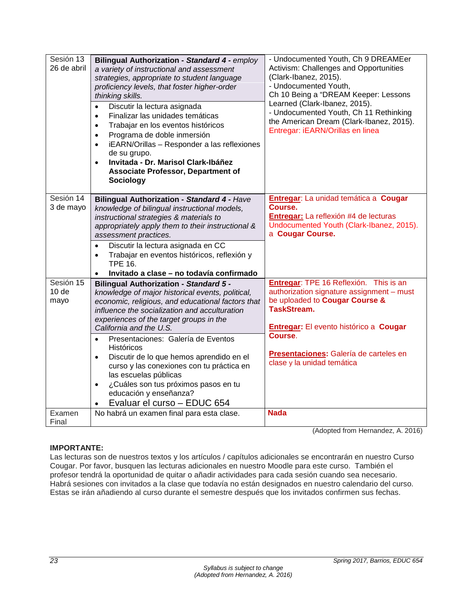| Sesión 13<br>26 de abril              | <b>Bilingual Authorization - Standard 4 - employ</b><br>a variety of instructional and assessment<br>strategies, appropriate to student language<br>proficiency levels, that foster higher-order<br>thinking skills.<br>Discutir la lectura asignada<br>$\bullet$<br>Finalizar las unidades temáticas<br>$\bullet$<br>Trabajar en los eventos históricos<br>$\bullet$<br>Programa de doble inmersión<br>$\bullet$<br>iEARN/Orillas - Responder a las reflexiones<br>$\bullet$<br>de su grupo.<br>Invitada - Dr. Marisol Clark-Ibáñez<br>$\bullet$<br><b>Associate Professor, Department of</b><br>Sociology     | - Undocumented Youth, Ch 9 DREAMEer<br>Activism: Challenges and Opportunities<br>(Clark-Ibanez, 2015).<br>- Undocumented Youth,<br>Ch 10 Being a "DREAM Keeper: Lessons<br>Learned (Clark-Ibanez, 2015).<br>- Undocumented Youth, Ch 11 Rethinking<br>the American Dream (Clark-Ibanez, 2015).<br>Entregar: iEARN/Orillas en linea |
|---------------------------------------|-----------------------------------------------------------------------------------------------------------------------------------------------------------------------------------------------------------------------------------------------------------------------------------------------------------------------------------------------------------------------------------------------------------------------------------------------------------------------------------------------------------------------------------------------------------------------------------------------------------------|------------------------------------------------------------------------------------------------------------------------------------------------------------------------------------------------------------------------------------------------------------------------------------------------------------------------------------|
| Sesión 14<br>3 de mayo                | <b>Bilingual Authorization - Standard 4 - Have</b><br>knowledge of bilingual instructional models,<br>instructional strategies & materials to<br>appropriately apply them to their instructional &<br>assessment practices.<br>Discutir la lectura asignada en CC<br>$\bullet$<br>Trabajar en eventos históricos, reflexión y<br>$\bullet$<br><b>TPE 16.</b><br>Invitado a clase - no todavía confirmado<br>$\bullet$                                                                                                                                                                                           | Entregar: La unidad temática a Cougar<br>Course.<br>Entregar: La reflexión #4 de lecturas<br>Undocumented Youth (Clark-Ibanez, 2015).<br>a Cougar Course.                                                                                                                                                                          |
| Sesión 15<br>10 <sub>de</sub><br>mayo | <b>Bilingual Authorization - Standard 5 -</b><br>knowledge of major historical events, political,<br>economic, religious, and educational factors that<br>influence the socialization and acculturation<br>experiences of the target groups in the<br>California and the U.S.<br>Presentaciones: Galería de Eventos<br>$\bullet$<br><b>Históricos</b><br>Discutir de lo que hemos aprendido en el<br>$\bullet$<br>curso y las conexiones con tu práctica en<br>las escuelas públicas<br>¿Cuáles son tus próximos pasos en tu<br>$\bullet$<br>educación y enseñanza?<br>Evaluar el curso - EDUC 654<br>$\bullet$ | Entregar: TPE 16 Reflexión. This is an<br>authorization signature assignment - must<br>be uploaded to Cougar Course &<br><b>TaskStream.</b><br><b>Entregar:</b> El evento histórico a Cougar<br>Course.<br>Presentaciones: Galería de carteles en<br>clase y la unidad temática                                                    |
| Examen<br>Final                       | No habrá un examen final para esta clase.                                                                                                                                                                                                                                                                                                                                                                                                                                                                                                                                                                       | <b>Nada</b>                                                                                                                                                                                                                                                                                                                        |

(Adopted from Hernandez, A. 2016)

# **IMPORTANTE:**

Las lecturas son de nuestros textos y los artículos / capítulos adicionales se encontrarán en nuestro Curso Cougar. Por favor, busquen las lecturas adicionales en nuestro Moodle para este curso. También el profesor tendrá la oportunidad de quitar o añadir actividades para cada sesión cuando sea necesario. Habrá sesiones con invitados a la clase que todavía no están designados en nuestro calendario del curso. Estas se irán añadiendo al curso durante el semestre después que los invitados confirmen sus fechas.